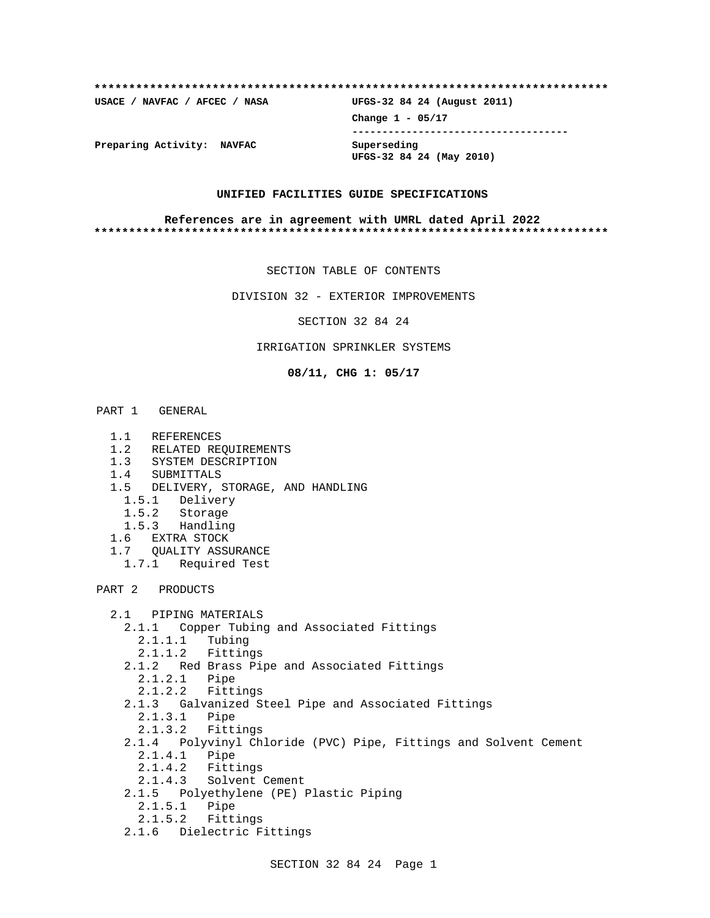## **\*\*\*\*\*\*\*\*\*\*\*\*\*\*\*\*\*\*\*\*\*\*\*\*\*\*\*\*\*\*\*\*\*\*\*\*\*\*\*\*\*\*\*\*\*\*\*\*\*\*\*\*\*\*\*\*\*\*\*\*\*\*\*\*\*\*\*\*\*\*\*\*\*\***

**USACE / NAVFAC / AFCEC / NASA UFGS-32 84 24 (August 2011)**

**Change 1 - 05/17 ------------------------------------**

**UFGS-32 84 24 (May 2010)**

**Preparing Activity: NAVFAC Superseding**

#### **UNIFIED FACILITIES GUIDE SPECIFICATIONS**

#### **References are in agreement with UMRL dated April 2022 \*\*\*\*\*\*\*\*\*\*\*\*\*\*\*\*\*\*\*\*\*\*\*\*\*\*\*\*\*\*\*\*\*\*\*\*\*\*\*\*\*\*\*\*\*\*\*\*\*\*\*\*\*\*\*\*\*\*\*\*\*\*\*\*\*\*\*\*\*\*\*\*\*\***

SECTION TABLE OF CONTENTS

DIVISION 32 - EXTERIOR IMPROVEMENTS

SECTION 32 84 24

## IRRIGATION SPRINKLER SYSTEMS

**08/11, CHG 1: 05/17**

# PART 1 GENERAL

- 1.1 REFERENCES
- 1.2 RELATED REQUIREMENTS
- 1.3 SYSTEM DESCRIPTION
- 1.4 SUBMITTALS
- 1.5 DELIVERY, STORAGE, AND HANDLING
	- 1.5.1 Delivery
	- 1.5.2 Storage
	- 1.5.3 Handling
- 1.6 EXTRA STOCK
- 1.7 QUALITY ASSURANCE
- 1.7.1 Required Test

PART 2 PRODUCTS

```
 2.1 PIPING MATERIALS
2.1.1 Copper Tubing and Associated Fittings
  2.1.1.1 Tubing
  2.1.1.2 Fittings
2.1.2 Red Brass Pipe and Associated Fittings
  2.1.2.1 Pipe
  2.1.2.2 Fittings
2.1.3 Galvanized Steel Pipe and Associated Fittings
  2.1.3.1 Pipe
  2.1.3.2 Fittings
2.1.4 Polyvinyl Chloride (PVC) Pipe, Fittings and Solvent Cement
  2.1.4.1 Pipe
  2.1.4.2 Fittings
  2.1.4.3 Solvent Cement
2.1.5 Polyethylene (PE) Plastic Piping
  2.1.5.1 Pipe
  2.1.5.2 Fittings
2.1.6 Dielectric Fittings
```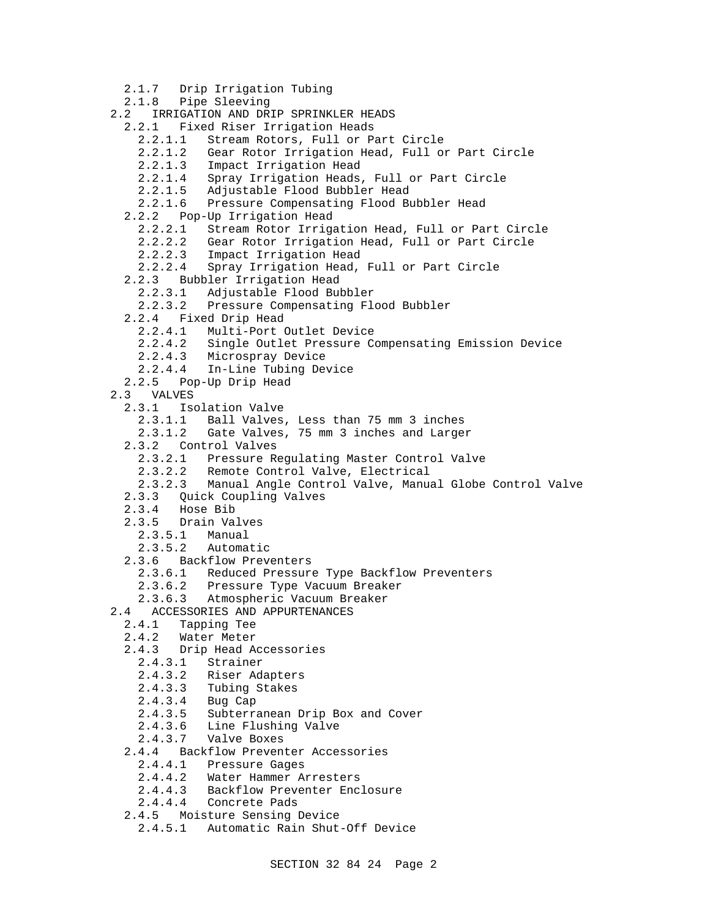2.1.7 Drip Irrigation Tubing 2.1.8 Pipe Sleeving 2.2 IRRIGATION AND DRIP SPRINKLER HEADS 2.2.1 Fixed Riser Irrigation Heads 2.2.1.1 Stream Rotors, Full or Part Circle 2.2.1.2 Gear Rotor Irrigation Head, Full or Part Circle 2.2.1.3 Impact Irrigation Head 2.2.1.4 Spray Irrigation Heads, Full or Part Circle 2.2.1.5 Adjustable Flood Bubbler Head 2.2.1.6 Pressure Compensating Flood Bubbler Head 2.2.2 Pop-Up Irrigation Head 2.2.2.1 Stream Rotor Irrigation Head, Full or Part Circle 2.2.2.2 Gear Rotor Irrigation Head, Full or Part Circle 2.2.2.3 Impact Irrigation Head 2.2.2.4 Spray Irrigation Head, Full or Part Circle 2.2.3 Bubbler Irrigation Head 2.2.3.1 Adjustable Flood Bubbler 2.2.3.2 Pressure Compensating Flood Bubbler 2.2.4 Fixed Drip Head 2.2.4.1 Multi-Port Outlet Device 2.2.4.2 Single Outlet Pressure Compensating Emission Device 2.2.4.3 Microspray Device 2.2.4.4 In-Line Tubing Device 2.2.5 Pop-Up Drip Head 2.3 VALVES 2.3.1 Isolation Valve 2.3.1.1 Ball Valves, Less than 75 mm 3 inches 2.3.1.2 Gate Valves, 75 mm 3 inches and Larger 2.3.2 Control Valves 2.3.2.1 Pressure Regulating Master Control Valve 2.3.2.2 Remote Control Valve, Electrical 2.3.2.3 Manual Angle Control Valve, Manual Globe Control Valve 2.3.3 Quick Coupling Valves 2.3.4 Hose Bib 2.3.5 Drain Valves 2.3.5.1 Manual 2.3.5.2 Automatic 2.3.6 Backflow Preventers 2.3.6.1 Reduced Pressure Type Backflow Preventers 2.3.6.2 Pressure Type Vacuum Breaker 2.3.6.3 Atmospheric Vacuum Breaker 2.4 ACCESSORIES AND APPURTENANCES 2.4.1 Tapping Tee 2.4.2 Water Meter 2.4.3 Drip Head Accessories 2.4.3.1 Strainer 2.4.3.2 Riser Adapters 2.4.3.3 Tubing Stakes 2.4.3.4 Bug Cap 2.4.3.5 Subterranean Drip Box and Cover Line Flushing Valve 2.4.3.7 Valve Boxes 2.4.4 Backflow Preventer Accessories 2.4.4.1 Pressure Gages 2.4.4.2 Water Hammer Arresters 2.4.4.3 Backflow Preventer Enclosure 2.4.4.4 Concrete Pads

- 2.4.5 Moisture Sensing Device
	- 2.4.5.1 Automatic Rain Shut-Off Device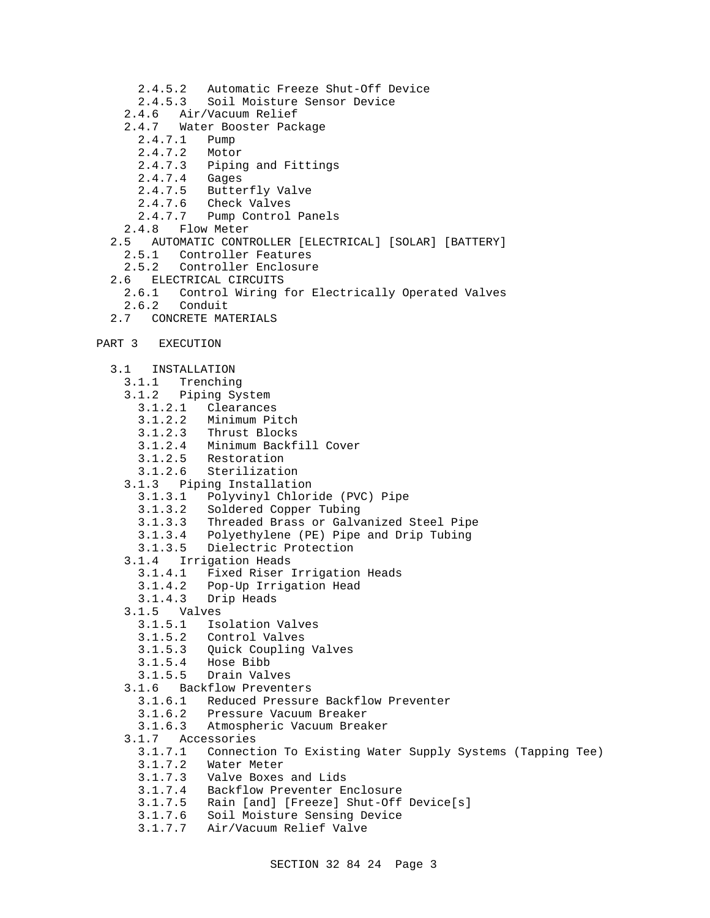- 2.4.5.2 Automatic Freeze Shut-Off Device
- 2.4.5.3 Soil Moisture Sensor Device
- 2.4.6 Air/Vacuum Relief
- 2.4.7 Water Booster Package
	- 2.4.7.1 Pump
	- 2.4.7.2 Motor
	- 2.4.7.3 Piping and Fittings
	- 2.4.7.4 Gages
	- 2.4.7.5 Butterfly Valve
	- 2.4.7.6 Check Valves
	- 2.4.7.7 Pump Control Panels
- 2.4.8 Flow Meter
- 2.5 AUTOMATIC CONTROLLER [ELECTRICAL] [SOLAR] [BATTERY]
	- 2.5.1 Controller Features
- 2.5.2 Controller Enclosure
- 2.6 ELECTRICAL CIRCUITS
	- 2.6.1 Control Wiring for Electrically Operated Valves
- 2.6.2 Conduit
- 2.7 CONCRETE MATERIALS
- PART 3 EXECUTION
	- 3.1 INSTALLATION
		- 3.1.1 Trenching
		- 3.1.2 Piping System
			- 3.1.2.1 Clearances
			- 3.1.2.2 Minimum Pitch
			- 3.1.2.3 Thrust Blocks
			- 3.1.2.4 Minimum Backfill Cover
- 3.1.2.5 Restoration
- 3.1.2.6 Sterilization
	- 3.1.3 Piping Installation
		- 3.1.3.1 Polyvinyl Chloride (PVC) Pipe
		- 3.1.3.2 Soldered Copper Tubing
		- 3.1.3.3 Threaded Brass or Galvanized Steel Pipe
		- 3.1.3.4 Polyethylene (PE) Pipe and Drip Tubing
		- 3.1.3.5 Dielectric Protection
	- 3.1.4 Irrigation Heads
		- 3.1.4.1 Fixed Riser Irrigation Heads
		- 3.1.4.2 Pop-Up Irrigation Head
		- 3.1.4.3 Drip Heads
	- 3.1.5 Valves<br>3.1.5.1 Iso
		- 3.1.5.1 Isolation Valves
		- 3.1.5.2 Control Valves
		- 3.1.5.3 Quick Coupling Valves
		- 3.1.5.4 Hose Bibb
		- 3.1.5.5 Drain Valves
	- 3.1.6 Backflow Preventers
		- 3.1.6.1 Reduced Pressure Backflow Preventer
		- 3.1.6.2 Pressure Vacuum Breaker
		- 3.1.6.3 Atmospheric Vacuum Breaker
	- 3.1.7 Accessories
		- 3.1.7.1 Connection To Existing Water Supply Systems (Tapping Tee)
		- 3.1.7.2 Water Meter
		- 3.1.7.3 Valve Boxes and Lids
		- 3.1.7.4 Backflow Preventer Enclosure
		- 3.1.7.5 Rain [and] [Freeze] Shut-Off Device[s]
		- 3.1.7.6 Soil Moisture Sensing Device
		- 3.1.7.7 Air/Vacuum Relief Valve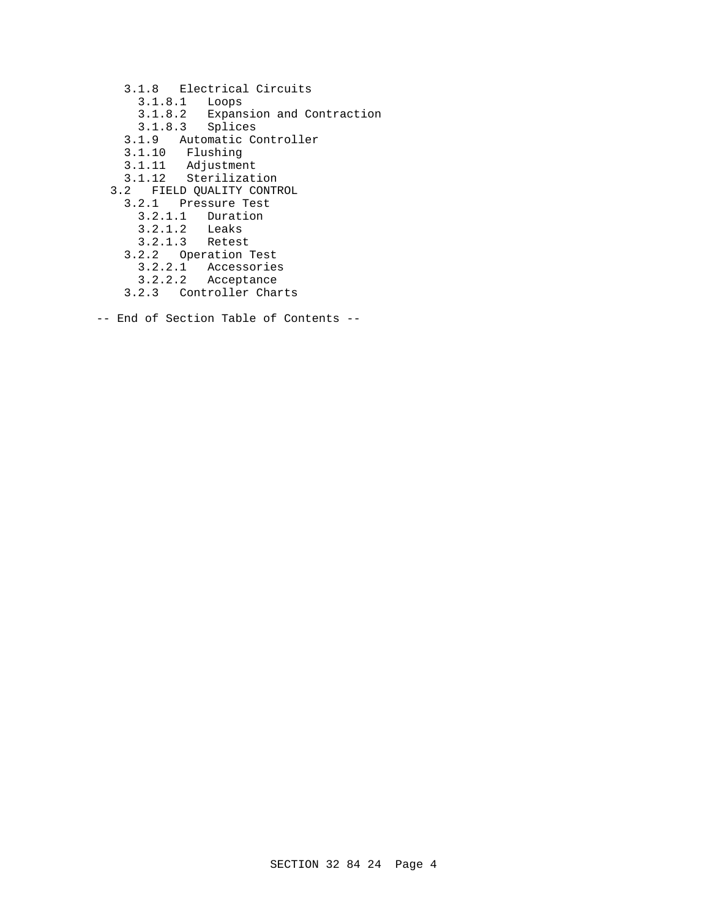- 3.1.8 Electrical Circuits
	- 3.1.8.1 Loops
	- 3.1.8.2 Expansion and Contraction
	- 3.1.8.3 Splices
- 3.1.9 Automatic Controller
- 3.1.10 Flushing
- 3.1.11 Adjustment
- 3.1.12 Sterilization
	- 3.2 FIELD QUALITY CONTROL
		- 3.2.1 Pressure Test
			- 3.2.1.1 Duration
			- 3.2.1.2 Leaks
			- 3.2.1.3 Retest
		- 3.2.2 Operation Test
			- 3.2.2.1 Accessories
			- 3.2.2.2 Acceptance
		- 3.2.3 Controller Charts
- -- End of Section Table of Contents --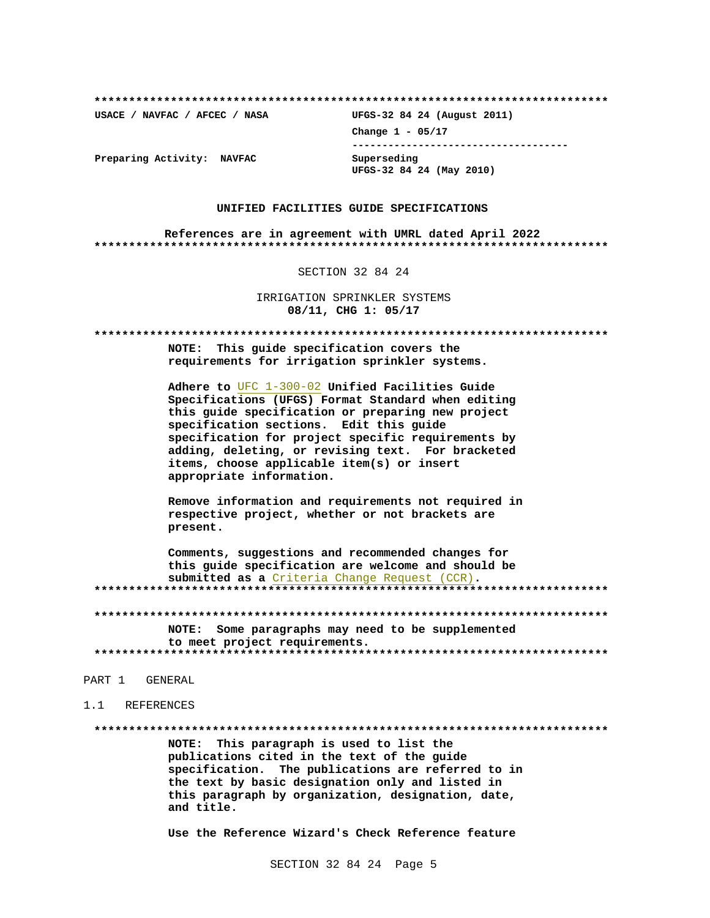USACE / NAVFAC / AFCEC / NASA

UFGS-32 84 24 (August 2011) Change  $1 - 05/17$ ------------------------------------Superseding

UFGS-32 84 24 (May 2010)

Preparing Activity: NAVFAC

#### UNIFIED FACILITIES GUIDE SPECIFICATIONS

References are in agreement with UMRL dated April 2022 

SECTION 32 84 24

IRRIGATION SPRINKLER SYSTEMS 08/11, CHG 1: 05/17

NOTE: This quide specification covers the requirements for irrigation sprinkler systems.

Adhere to UFC 1-300-02 Unified Facilities Guide Specifications (UFGS) Format Standard when editing this guide specification or preparing new project specification sections. Edit this quide specification for project specific requirements by adding, deleting, or revising text. For bracketed items, choose applicable item(s) or insert appropriate information.

Remove information and requirements not required in respective project, whether or not brackets are present.

Comments, suggestions and recommended changes for this guide specification are welcome and should be submitted as a Criteria Change Request (CCR). 

NOTE: Some paragraphs may need to be supplemented to meet project requirements. 

#### PART 1 GENERAL

#### 1.1 REFERENCES

NOTE: This paragraph is used to list the publications cited in the text of the guide specification. The publications are referred to in the text by basic designation only and listed in this paragraph by organization, designation, date, and title.

Use the Reference Wizard's Check Reference feature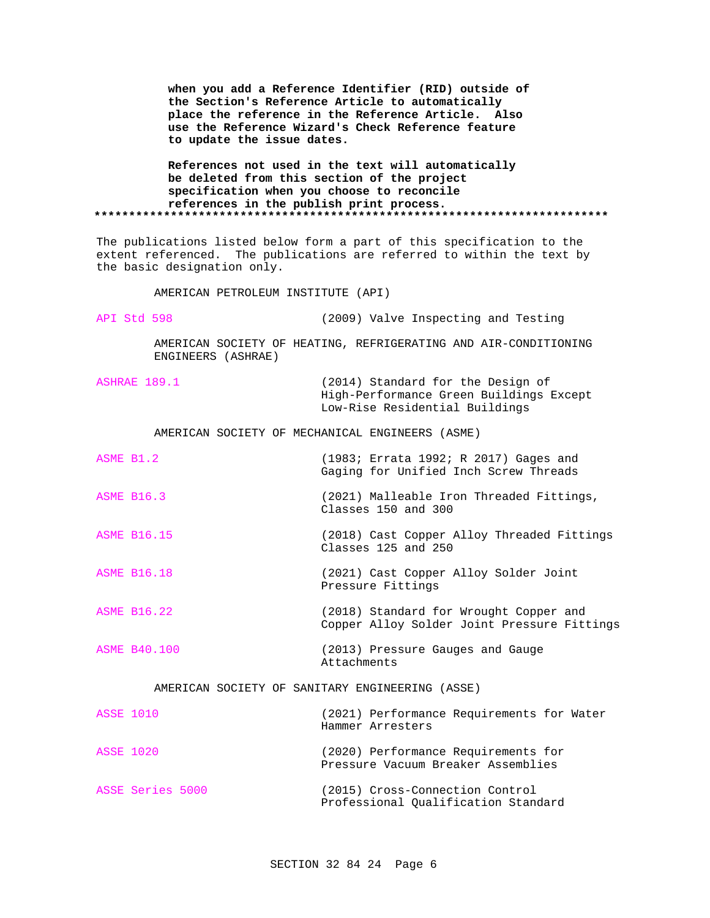|                                                                                                                                                                                             | to update the issue dates.         | when you add a Reference Identifier (RID) outside of<br>the Section's Reference Article to automatically<br>place the reference in the Reference Article. Also<br>use the Reference Wizard's Check Reference feature |  |  |
|---------------------------------------------------------------------------------------------------------------------------------------------------------------------------------------------|------------------------------------|----------------------------------------------------------------------------------------------------------------------------------------------------------------------------------------------------------------------|--|--|
| References not used in the text will automatically<br>be deleted from this section of the project<br>specification when you choose to reconcile<br>references in the publish print process. |                                    |                                                                                                                                                                                                                      |  |  |
|                                                                                                                                                                                             |                                    |                                                                                                                                                                                                                      |  |  |
| The publications listed below form a part of this specification to the<br>extent referenced. The publications are referred to within the text by<br>the basic designation only.             |                                    |                                                                                                                                                                                                                      |  |  |
|                                                                                                                                                                                             | AMERICAN PETROLEUM INSTITUTE (API) |                                                                                                                                                                                                                      |  |  |
| API Std 598                                                                                                                                                                                 |                                    | (2009) Valve Inspecting and Testing                                                                                                                                                                                  |  |  |
|                                                                                                                                                                                             | ENGINEERS (ASHRAE)                 | AMERICAN SOCIETY OF HEATING, REFRIGERATING AND AIR-CONDITIONING                                                                                                                                                      |  |  |
| ASHRAE 189.1                                                                                                                                                                                |                                    | (2014) Standard for the Design of<br>High-Performance Green Buildings Except<br>Low-Rise Residential Buildings                                                                                                       |  |  |
| AMERICAN SOCIETY OF MECHANICAL ENGINEERS (ASME)                                                                                                                                             |                                    |                                                                                                                                                                                                                      |  |  |
| ASME B1.2                                                                                                                                                                                   |                                    | (1983; Errata 1992; R 2017) Gages and<br>Gaging for Unified Inch Screw Threads                                                                                                                                       |  |  |
| <b>ASME B16.3</b>                                                                                                                                                                           |                                    | (2021) Malleable Iron Threaded Fittings,<br>Classes 150 and 300                                                                                                                                                      |  |  |
| <b>ASME B16.15</b>                                                                                                                                                                          |                                    | (2018) Cast Copper Alloy Threaded Fittings<br>Classes 125 and 250                                                                                                                                                    |  |  |
| <b>ASME B16.18</b>                                                                                                                                                                          |                                    | (2021) Cast Copper Alloy Solder Joint<br>Pressure Fittings                                                                                                                                                           |  |  |
| <b>ASME B16.22</b>                                                                                                                                                                          |                                    | (2018) Standard for Wrought Copper and<br>Copper Alloy Solder Joint Pressure Fittings                                                                                                                                |  |  |
| <b>ASME B40.100</b>                                                                                                                                                                         |                                    | (2013) Pressure Gauges and Gauge<br>Attachments                                                                                                                                                                      |  |  |
| AMERICAN SOCIETY OF SANITARY ENGINEERING (ASSE)                                                                                                                                             |                                    |                                                                                                                                                                                                                      |  |  |
| <b>ASSE 1010</b>                                                                                                                                                                            |                                    | (2021) Performance Requirements for Water<br>Hammer Arresters                                                                                                                                                        |  |  |
| <b>ASSE 1020</b>                                                                                                                                                                            |                                    | (2020) Performance Requirements for<br>Pressure Vacuum Breaker Assemblies                                                                                                                                            |  |  |
| ASSE Series 5000                                                                                                                                                                            |                                    | (2015) Cross-Connection Control<br>Professional Qualification Standard                                                                                                                                               |  |  |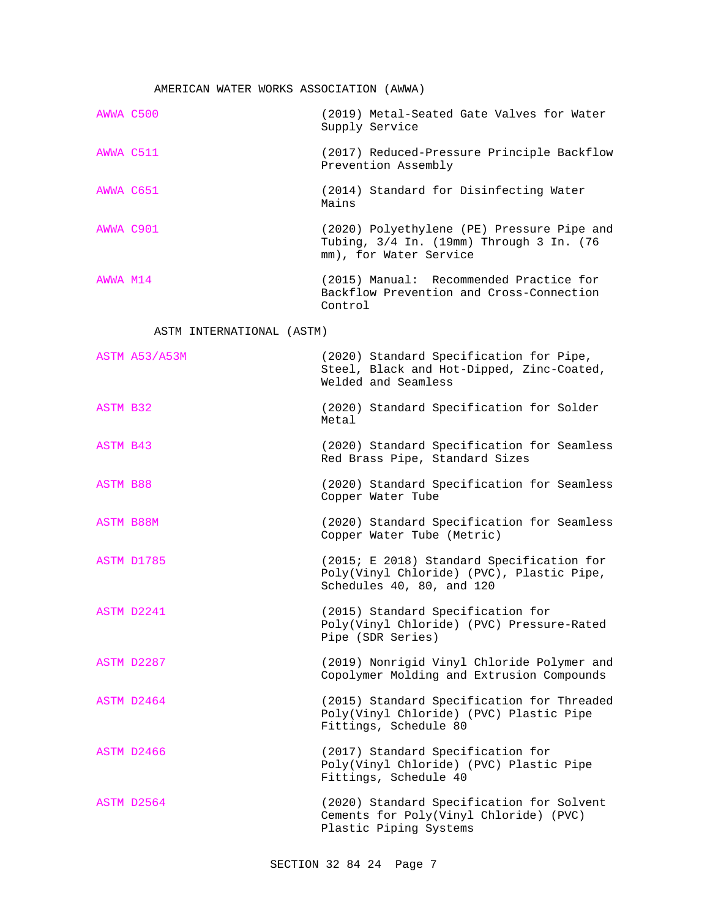# AMERICAN WATER WORKS ASSOCIATION (AWWA)

| AWWA C500 | (2019) Metal-Seated Gate Valves for Water<br>Supply Service                                                      |
|-----------|------------------------------------------------------------------------------------------------------------------|
| AWWA C511 | (2017) Reduced-Pressure Principle Backflow<br>Prevention Assembly                                                |
| AWWA C651 | (2014) Standard for Disinfecting Water<br>Mains                                                                  |
| AWWA C901 | (2020) Polyethylene (PE) Pressure Pipe and<br>Tubing, 3/4 In. (19mm) Through 3 In. (76<br>mm), for Water Service |
| AWWA M14  | (2015) Manual: Recommended Practice for<br>Backflow Prevention and Cross-Connection<br>Control                   |

# ASTM INTERNATIONAL (ASTM)

| ASTM A53/A53M    | (2020) Standard Specification for Pipe,<br>Steel, Black and Hot-Dipped, Zinc-Coated,<br>Welded and Seamless         |
|------------------|---------------------------------------------------------------------------------------------------------------------|
| <b>ASTM B32</b>  | (2020) Standard Specification for Solder<br>Metal                                                                   |
| ASTM B43         | (2020) Standard Specification for Seamless<br>Red Brass Pipe, Standard Sizes                                        |
| <b>ASTM B88</b>  | (2020) Standard Specification for Seamless<br>Copper Water Tube                                                     |
| <b>ASTM B88M</b> | (2020) Standard Specification for Seamless<br>Copper Water Tube (Metric)                                            |
| ASTM D1785       | (2015; E 2018) Standard Specification for<br>Poly(Vinyl Chloride) (PVC), Plastic Pipe,<br>Schedules 40, 80, and 120 |
| ASTM D2241       | (2015) Standard Specification for<br>Poly(Vinyl Chloride) (PVC) Pressure-Rated<br>Pipe (SDR Series)                 |
| ASTM D2287       | (2019) Nonrigid Vinyl Chloride Polymer and<br>Copolymer Molding and Extrusion Compounds                             |
| ASTM D2464       | (2015) Standard Specification for Threaded<br>Poly(Vinyl Chloride) (PVC) Plastic Pipe<br>Fittings, Schedule 80      |
| ASTM D2466       | (2017) Standard Specification for<br>Poly(Vinyl Chloride) (PVC) Plastic Pipe<br>Fittings, Schedule 40               |
| ASTM D2564       | (2020) Standard Specification for Solvent<br>Cements for Poly(Vinyl Chloride) (PVC)<br>Plastic Piping Systems       |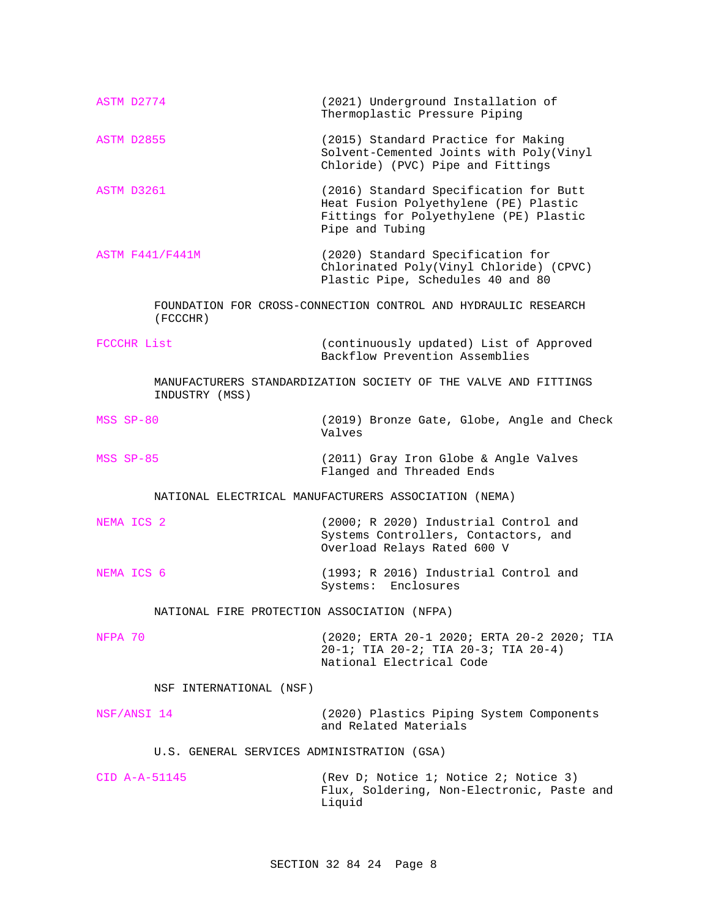| ASTM D2774                                           | (2021) Underground Installation of<br>Thermoplastic Pressure Piping                                                                          |  |  |  |
|------------------------------------------------------|----------------------------------------------------------------------------------------------------------------------------------------------|--|--|--|
| ASTM D2855                                           | (2015) Standard Practice for Making<br>Solvent-Cemented Joints with Poly(Vinyl<br>Chloride) (PVC) Pipe and Fittings                          |  |  |  |
| ASTM D3261                                           | (2016) Standard Specification for Butt<br>Heat Fusion Polyethylene (PE) Plastic<br>Fittings for Polyethylene (PE) Plastic<br>Pipe and Tubing |  |  |  |
| ASTM F441/F441M                                      | (2020) Standard Specification for<br>Chlorinated Poly(Vinyl Chloride) (CPVC)<br>Plastic Pipe, Schedules 40 and 80                            |  |  |  |
| (FCCCHR)                                             | FOUNDATION FOR CROSS-CONNECTION CONTROL AND HYDRAULIC RESEARCH                                                                               |  |  |  |
| FCCCHR List                                          | (continuously updated) List of Approved<br>Backflow Prevention Assemblies                                                                    |  |  |  |
| INDUSTRY (MSS)                                       | MANUFACTURERS STANDARDIZATION SOCIETY OF THE VALVE AND FITTINGS                                                                              |  |  |  |
| MSS SP-80                                            | (2019) Bronze Gate, Globe, Angle and Check<br>Valves                                                                                         |  |  |  |
| MSS SP-85                                            | (2011) Gray Iron Globe & Angle Valves<br>Flanged and Threaded Ends                                                                           |  |  |  |
| NATIONAL ELECTRICAL MANUFACTURERS ASSOCIATION (NEMA) |                                                                                                                                              |  |  |  |
| NEMA ICS 2                                           | (2000; R 2020) Industrial Control and<br>Systems Controllers, Contactors, and<br>Overload Relays Rated 600 V                                 |  |  |  |
| NEMA ICS 6                                           | (1993; R 2016) Industrial Control and<br>Systems: Enclosures                                                                                 |  |  |  |
| NATIONAL FIRE PROTECTION ASSOCIATION (NFPA)          |                                                                                                                                              |  |  |  |
| NFPA 70                                              | (2020; ERTA 20-1 2020; ERTA 20-2 2020; TIA<br>20-1; TIA 20-2; TIA 20-3; TIA 20-4)<br>National Electrical Code                                |  |  |  |
| NSF INTERNATIONAL (NSF)                              |                                                                                                                                              |  |  |  |
| NSF/ANSI 14                                          | (2020) Plastics Piping System Components<br>and Related Materials                                                                            |  |  |  |
| U.S. GENERAL SERVICES ADMINISTRATION (GSA)           |                                                                                                                                              |  |  |  |
| $CID A-A-51145$                                      | (Rev D; Notice 1; Notice 2; Notice 3)<br>Flux, Soldering, Non-Electronic, Paste and<br>Liquid                                                |  |  |  |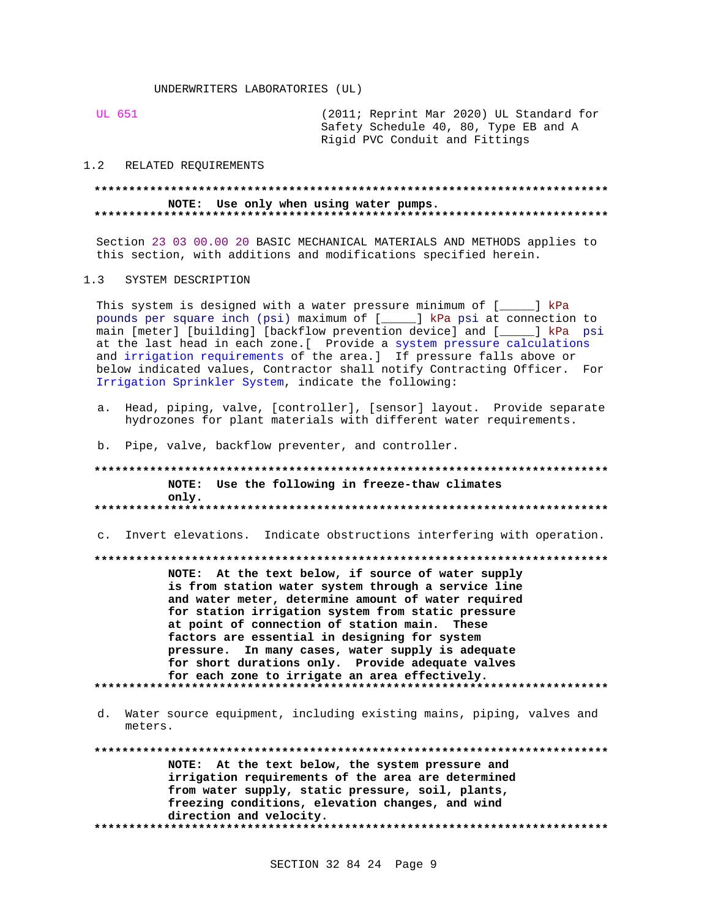**UL 651** 

(2011; Reprint Mar 2020) UL Standard for Safety Schedule 40, 80, Type EB and A Rigid PVC Conduit and Fittings

#### $1.2$ RELATED REOUIREMENTS

## NOTE: Use only when using water pumps.

Section 23 03 00.00 20 BASIC MECHANICAL MATERIALS AND METHODS applies to this section, with additions and modifications specified herein.

#### SYSTEM DESCRIPTION  $1.3$

This system is designed with a water pressure minimum of [ \_] kPa pounds per square inch (psi) maximum of [\_\_\_\_] kPa psi at connection to main [meter] [building] [backflow prevention device] and [\_\_\_\_\_] kPa psi at the last head in each zone. [ Provide a system pressure calculations and irrigation requirements of the area.] If pressure falls above or below indicated values, Contractor shall notify Contracting Officer. For Irrigation Sprinkler System, indicate the following:

- a. Head, piping, valve, [controller], [sensor] layout. Provide separate hydrozones for plant materials with different water requirements.
- b. Pipe, valve, backflow preventer, and controller.

## NOTE: Use the following in freeze-thaw climates only.

c. Invert elevations. Indicate obstructions interfering with operation.

NOTE: At the text below, if source of water supply is from station water system through a service line and water meter, determine amount of water required for station irrigation system from static pressure at point of connection of station main. These factors are essential in designing for system pressure. In many cases, water supply is adequate for short durations only. Provide adequate valves for each zone to irrigate an area effectively. 

d. Water source equipment, including existing mains, piping, valves and meters.

NOTE: At the text below, the system pressure and irrigation requirements of the area are determined from water supply, static pressure, soil, plants, freezing conditions, elevation changes, and wind direction and velocity.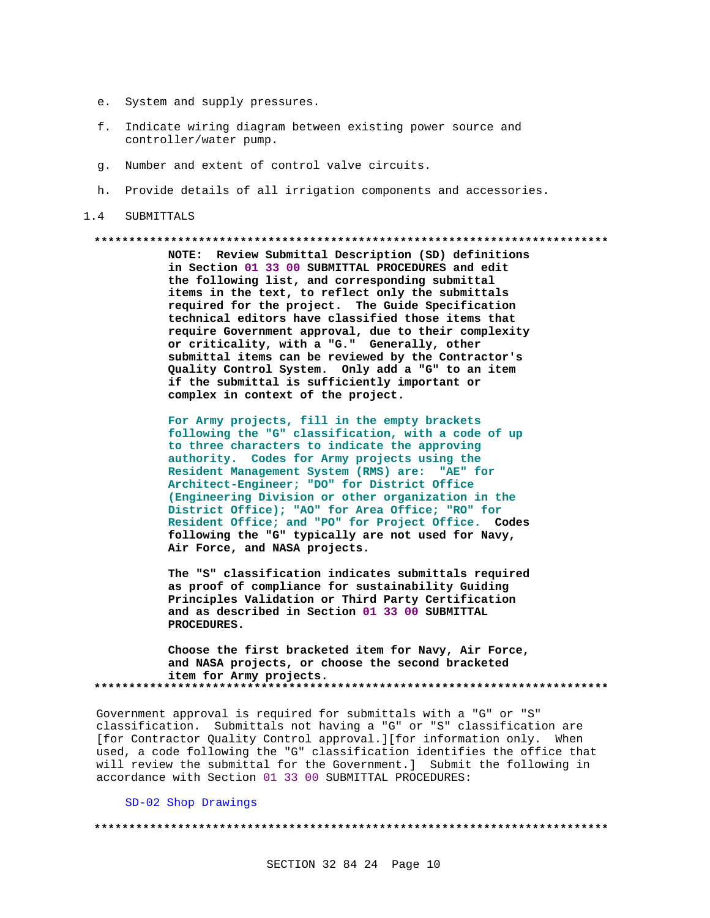- e. System and supply pressures.
- f. Indicate wiring diagram between existing power source and controller/water pump.
- q. Number and extent of control valve circuits.
- h. Provide details of all irrigation components and accessories.

#### $1.4$ SUBMITTALS

#### 

NOTE: Review Submittal Description (SD) definitions in Section 01 33 00 SUBMITTAL PROCEDURES and edit the following list, and corresponding submittal items in the text, to reflect only the submittals required for the project. The Guide Specification technical editors have classified those items that require Government approval, due to their complexity or criticality, with a "G." Generally, other submittal items can be reviewed by the Contractor's Quality Control System. Only add a "G" to an item if the submittal is sufficiently important or complex in context of the project.

For Army projects, fill in the empty brackets following the "G" classification, with a code of up to three characters to indicate the approving authority. Codes for Army projects using the Resident Management System (RMS) are: "AE" for Architect-Engineer; "DO" for District Office (Engineering Division or other organization in the District Office); "AO" for Area Office; "RO" for Resident Office; and "PO" for Project Office. Codes following the "G" typically are not used for Navy, Air Force, and NASA projects.

The "S" classification indicates submittals required as proof of compliance for sustainability Guiding Principles Validation or Third Party Certification and as described in Section 01 33 00 SUBMITTAL PROCEDURES.

Choose the first bracketed item for Navy, Air Force, and NASA projects, or choose the second bracketed item for Army projects. 

Government approval is required for submittals with a "G" or "S" classification. Submittals not having a "G" or "S" classification are [for Contractor Quality Control approval.][for information only. When used, a code following the "G" classification identifies the office that will review the submittal for the Government.] Submit the following in accordance with Section 01 33 00 SUBMITTAL PROCEDURES:

SD-02 Shop Drawings

####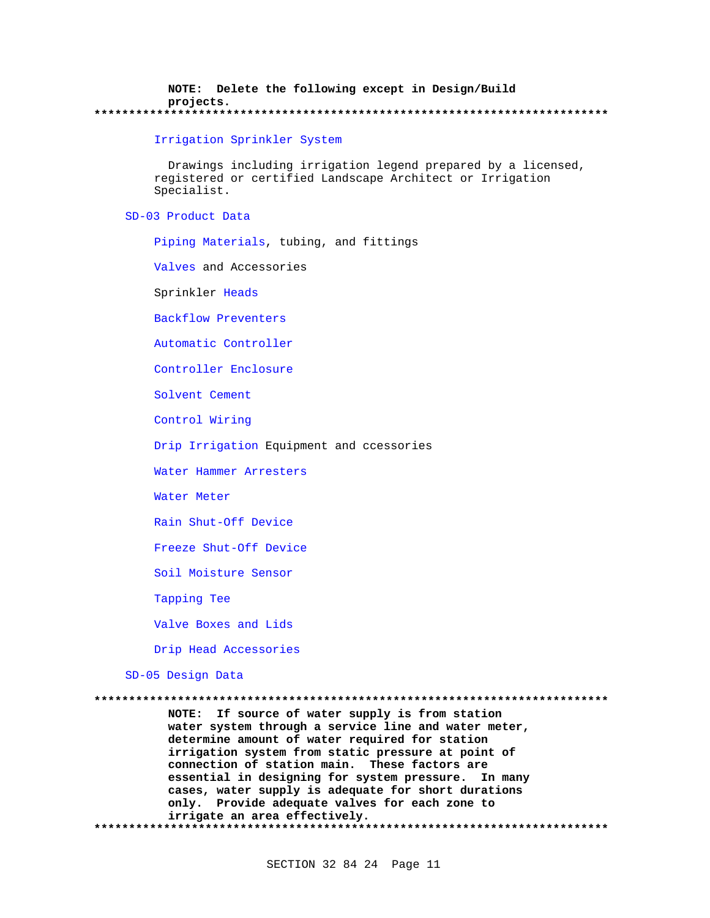NOTE: Delete the following except in Design/Build projects. \*\*\*\*\*\*\*\*\*\*\*

#### Irrigation Sprinkler System

Drawings including irrigation legend prepared by a licensed, registered or certified Landscape Architect or Irrigation Specialist.

### SD-03 Product Data

Piping Materials, tubing, and fittings

Valves and Accessories

Sprinkler Heads

**Backflow Preventers** 

Automatic Controller

Controller Enclosure

Solvent Cement

Control Wiring

Drip Irrigation Equipment and ccessories

Water Hammer Arresters

Water Meter

Rain Shut-Off Device

Freeze Shut-Off Device

Soil Moisture Sensor

Tapping Tee

Valve Boxes and Lids

Drip Head Accessories

SD-05 Design Data

NOTE: If source of water supply is from station water system through a service line and water meter, determine amount of water required for station irrigation system from static pressure at point of connection of station main. These factors are essential in designing for system pressure. In many cases, water supply is adequate for short durations only. Provide adequate valves for each zone to irrigate an area effectively.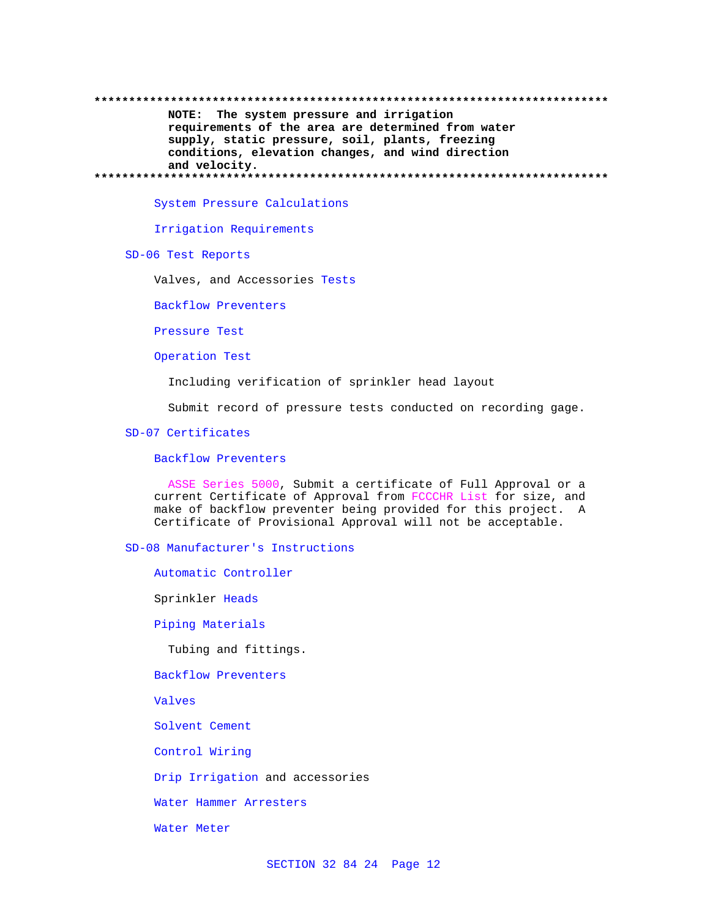## NOTE: The system pressure and irrigation requirements of the area are determined from water supply, static pressure, soil, plants, freezing conditions, elevation changes, and wind direction and velocity.

System Pressure Calculations

Irrigation Requirements

SD-06 Test Reports

Valves, and Accessories Tests

Backflow Preventers

Pressure Test

Operation Test

Including verification of sprinkler head layout

Submit record of pressure tests conducted on recording gage.

## SD-07 Certificates

#### **Backflow Preventers**

ASSE Series 5000, Submit a certificate of Full Approval or a current Certificate of Approval from FCCCHR List for size, and make of backflow preventer being provided for this project. A Certificate of Provisional Approval will not be acceptable.

## SD-08 Manufacturer's Instructions

Automatic Controller

Sprinkler Heads

Piping Materials

Tubing and fittings.

**Backflow Preventers** 

Valves

Solvent Cement

Control Wiring

Drip Irrigation and accessories

Water Hammer Arresters

Water Meter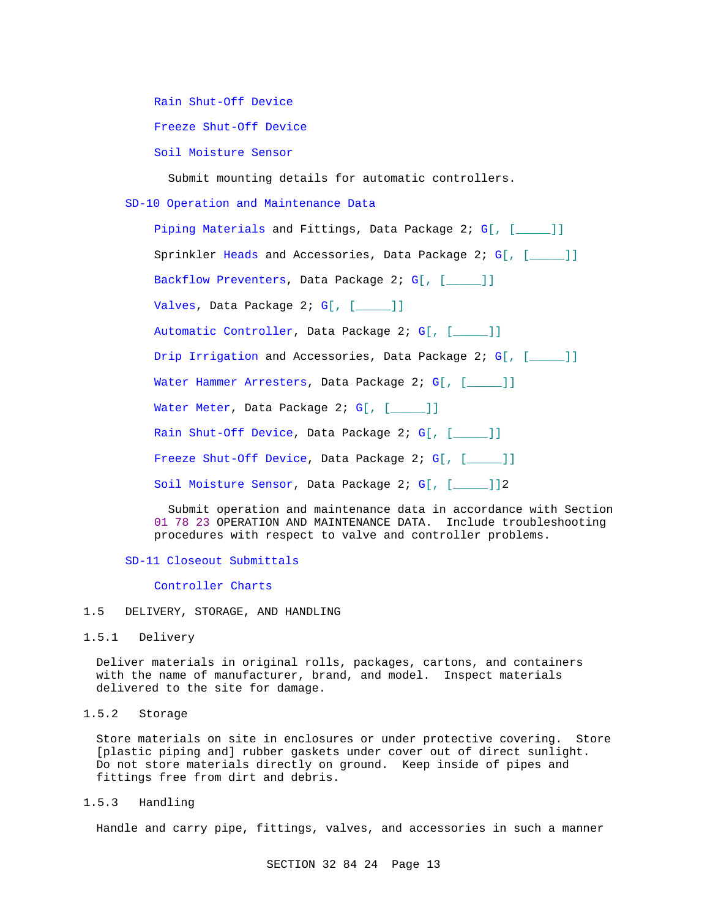Rain Shut-Off Device

Freeze Shut-Off Device

Soil Moisture Sensor

Submit mounting details for automatic controllers.

SD-10 Operation and Maintenance Data

Piping Materials and Fittings, Data Package 2; G[, [\_\_\_\_\_]] Sprinkler Heads and Accessories, Data Package 2; G[, [\_\_\_\_\_]] Backflow Preventers, Data Package 2; G[, [\_\_\_\_]] Valves, Data Package 2; G[, [\_\_\_\_]] Automatic Controller, Data Package 2; G[, [\_\_\_\_\_]] Drip Irrigation and Accessories, Data Package 2; G[, [\_\_\_\_]] Water Hammer Arresters, Data Package 2; G[, [\_\_\_\_]] Water Meter, Data Package 2; G[, [\_\_\_\_]] Rain Shut-Off Device, Data Package 2; G[, [\_\_\_\_]] Freeze Shut-Off Device, Data Package 2; G[, [\_\_\_\_]] Soil Moisture Sensor, Data Package 2; G[, [\_\_\_\_\_]]2

 Submit operation and maintenance data in accordance with Section 01 78 23 OPERATION AND MAINTENANCE DATA. Include troubleshooting procedures with respect to valve and controller problems.

## SD-11 Closeout Submittals

Controller Charts

- 1.5 DELIVERY, STORAGE, AND HANDLING
- 1.5.1 Delivery

Deliver materials in original rolls, packages, cartons, and containers with the name of manufacturer, brand, and model. Inspect materials delivered to the site for damage.

1.5.2 Storage

Store materials on site in enclosures or under protective covering. Store [plastic piping and] rubber gaskets under cover out of direct sunlight. Do not store materials directly on ground. Keep inside of pipes and fittings free from dirt and debris.

1.5.3 Handling

Handle and carry pipe, fittings, valves, and accessories in such a manner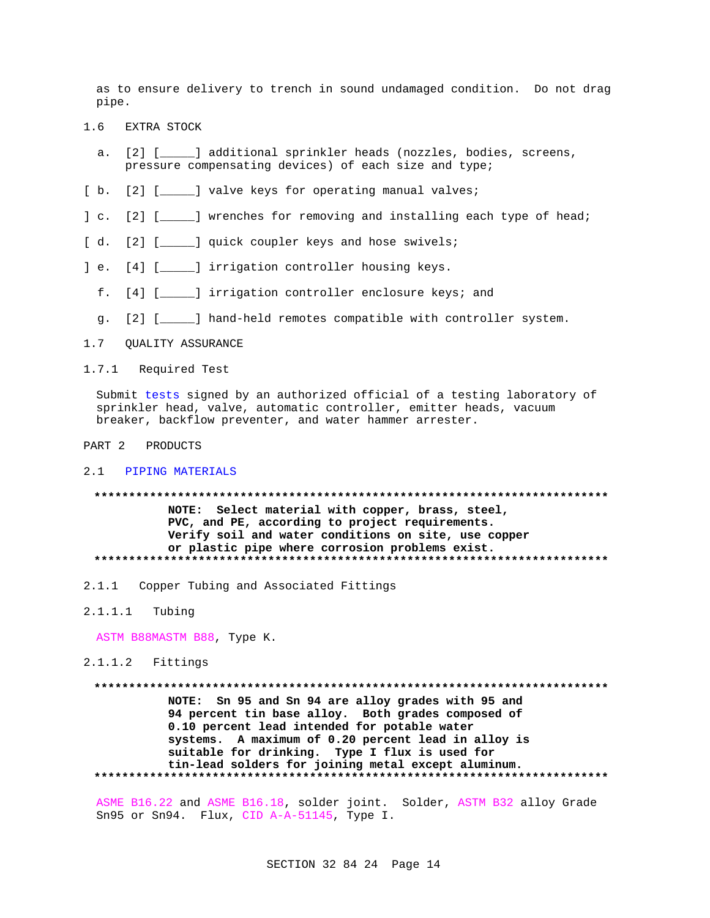as to ensure delivery to trench in sound undamaged condition. Do not drag pipe.

- EXTRA STOCK  $1.6$ 
	- a. [2] [\_\_\_\_\_] additional sprinkler heads (nozzles, bodies, screens, pressure compensating devices) of each size and type;
- [b. [2] [\_\_\_\_\_] valve keys for operating manual valves;
- ] c. [2] [\_\_\_\_\_] wrenches for removing and installing each type of head;
- [d. [2] [\_\_\_\_\_] quick coupler keys and hose swivels;
- ] e. [4] [\_\_\_\_\_] irrigation controller housing keys.
	- f. [4] [\_\_\_\_\_] irrigation controller enclosure keys; and
	- g. [2] [\_\_\_\_\_] hand-held remotes compatible with controller system.
- 1.7 QUALITY ASSURANCE
- 1.7.1 Required Test

Submit tests signed by an authorized official of a testing laboratory of sprinkler head, valve, automatic controller, emitter heads, vacuum breaker, backflow preventer, and water hammer arrester.

PART 2 PRODUCTS

### 2.1 PIPING MATERIALS

NOTE: Select material with copper, brass, steel, PVC, and PE, according to project requirements. Verify soil and water conditions on site, use copper or plastic pipe where corrosion problems exist. 

- 2.1.1 Copper Tubing and Associated Fittings
- $2.1.1.1$ Tubing

ASTM B88MASTM B88, Type K.

 $2.1.1.2$  Fittings

\*\*\*\*\*\*\*\*\*\*\*\*\*\* NOTE: Sn 95 and Sn 94 are alloy grades with 95 and 94 percent tin base alloy. Both grades composed of 0.10 percent lead intended for potable water systems. A maximum of 0.20 percent lead in alloy is suitable for drinking. Type I flux is used for tin-lead solders for joining metal except aluminum. 

ASME B16.22 and ASME B16.18, solder joint. Solder, ASTM B32 alloy Grade Sn95 or Sn94. Flux, CID A-A-51145, Type I.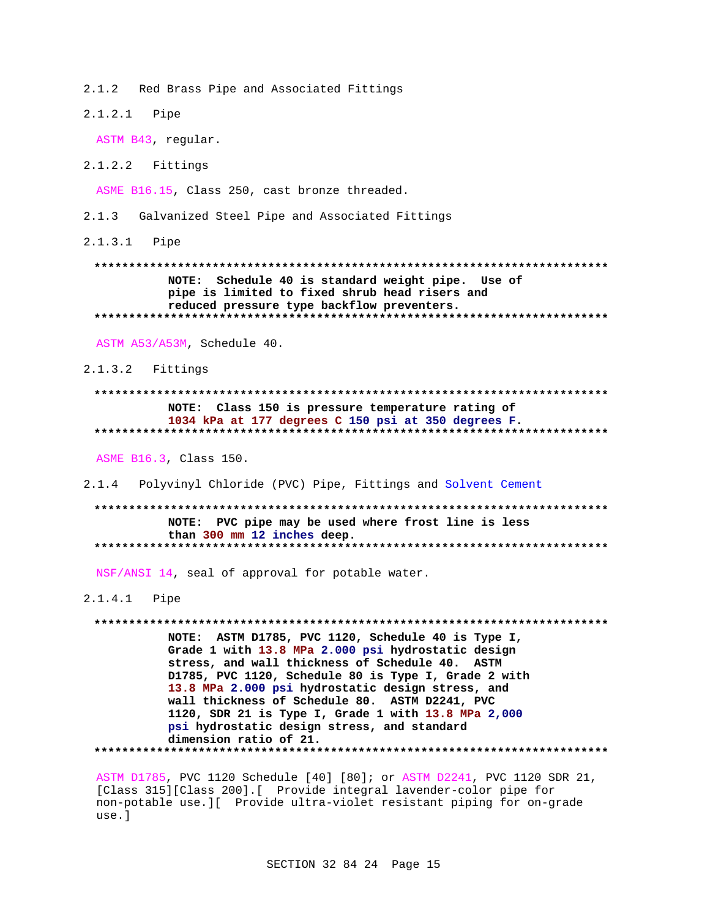Red Brass Pipe and Associated Fittings  $2.1.2$ 

2.1.2.1 Pipe

ASTM B43, regular.

 $2.1.2.2$  Fittings

ASME B16.15, Class 250, cast bronze threaded.

2.1.3 Galvanized Steel Pipe and Associated Fittings

2.1.3.1 Pipe

NOTE: Schedule 40 is standard weight pipe. Use of pipe is limited to fixed shrub head risers and reduced pressure type backflow preventers. 

ASTM A53/A53M, Schedule 40.

 $2.1.3.2$  Fittings

## NOTE: Class 150 is pressure temperature rating of 1034 kPa at 177 degrees C 150 psi at 350 degrees F.

ASME B16.3, Class 150.

2.1.4 Polyvinyl Chloride (PVC) Pipe, Fittings and Solvent Cement

NOTE: PVC pipe may be used where frost line is less than 300 mm 12 inches deep. 

NSF/ANSI 14, seal of approval for potable water.

 $2.1.4.1$ Pipe

NOTE: ASTM D1785, PVC 1120, Schedule 40 is Type I, Grade 1 with 13.8 MPa 2.000 psi hydrostatic design stress, and wall thickness of Schedule 40. ASTM D1785, PVC 1120, Schedule 80 is Type I, Grade 2 with 13.8 MPa 2.000 psi hydrostatic design stress, and wall thickness of Schedule 80. ASTM D2241, PVC 1120, SDR 21 is Type I, Grade 1 with 13.8 MPa 2,000 psi hydrostatic design stress, and standard dimension ratio of 21. 

ASTM D1785, PVC 1120 Schedule [40] [80]; or ASTM D2241, PVC 1120 SDR 21, [Class 315][Class 200].[ Provide integral lavender-color pipe for non-potable use. I Provide ultra-violet resistant piping for on-grade use.]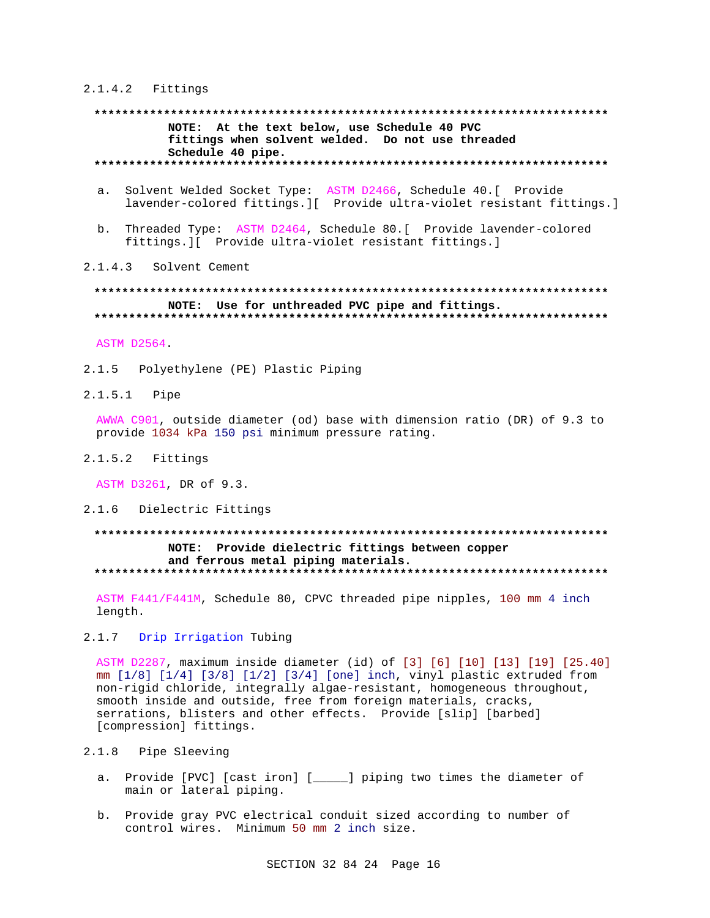#### 2.1.4.2 Fittings

## **\*\*\*\*\*\*\*\*\*\*\*\*\*\*\*\*\*\*\*\*\*\*\*\*\*\*\*\*\*\*\*\*\*\*\*\*\*\*\*\*\*\*\*\*\*\*\*\*\*\*\*\*\*\*\*\*\*\*\*\*\*\*\*\*\*\*\*\*\*\*\*\*\*\* NOTE: At the text below, use Schedule 40 PVC fittings when solvent welded. Do not use threaded Schedule 40 pipe. \*\*\*\*\*\*\*\*\*\*\*\*\*\*\*\*\*\*\*\*\*\*\*\*\*\*\*\*\*\*\*\*\*\*\*\*\*\*\*\*\*\*\*\*\*\*\*\*\*\*\*\*\*\*\*\*\*\*\*\*\*\*\*\*\*\*\*\*\*\*\*\*\*\***

- a. Solvent Welded Socket Type: ASTM D2466, Schedule 40.[ Provide lavender-colored fittings.][ Provide ultra-violet resistant fittings.]
- b. Threaded Type: ASTM D2464, Schedule 80.[ Provide lavender-colored fittings.][ Provide ultra-violet resistant fittings.]

## 2.1.4.3 Solvent Cement

## **\*\*\*\*\*\*\*\*\*\*\*\*\*\*\*\*\*\*\*\*\*\*\*\*\*\*\*\*\*\*\*\*\*\*\*\*\*\*\*\*\*\*\*\*\*\*\*\*\*\*\*\*\*\*\*\*\*\*\*\*\*\*\*\*\*\*\*\*\*\*\*\*\*\* NOTE: Use for unthreaded PVC pipe and fittings. \*\*\*\*\*\*\*\*\*\*\*\*\*\*\*\*\*\*\*\*\*\*\*\*\*\*\*\*\*\*\*\*\*\*\*\*\*\*\*\*\*\*\*\*\*\*\*\*\*\*\*\*\*\*\*\*\*\*\*\*\*\*\*\*\*\*\*\*\*\*\*\*\*\***

ASTM D2564.

- 2.1.5 Polyethylene (PE) Plastic Piping
- 2.1.5.1 Pipe

AWWA C901, outside diameter (od) base with dimension ratio (DR) of 9.3 to provide 1034 kPa 150 psi minimum pressure rating.

2.1.5.2 Fittings

ASTM D3261, DR of 9.3.

2.1.6 Dielectric Fittings

# **\*\*\*\*\*\*\*\*\*\*\*\*\*\*\*\*\*\*\*\*\*\*\*\*\*\*\*\*\*\*\*\*\*\*\*\*\*\*\*\*\*\*\*\*\*\*\*\*\*\*\*\*\*\*\*\*\*\*\*\*\*\*\*\*\*\*\*\*\*\*\*\*\*\* NOTE: Provide dielectric fittings between copper and ferrous metal piping materials. \*\*\*\*\*\*\*\*\*\*\*\*\*\*\*\*\*\*\*\*\*\*\*\*\*\*\*\*\*\*\*\*\*\*\*\*\*\*\*\*\*\*\*\*\*\*\*\*\*\*\*\*\*\*\*\*\*\*\*\*\*\*\*\*\*\*\*\*\*\*\*\*\*\***

ASTM F441/F441M, Schedule 80, CPVC threaded pipe nipples, 100 mm 4 inch length.

2.1.7 Drip Irrigation Tubing

ASTM D2287, maximum inside diameter (id) of [3] [6] [10] [13] [19] [25.40] mm [1/8] [1/4] [3/8] [1/2] [3/4] [one] inch, vinyl plastic extruded from non-rigid chloride, integrally algae-resistant, homogeneous throughout, smooth inside and outside, free from foreign materials, cracks, serrations, blisters and other effects. Provide [slip] [barbed] [compression] fittings.

- 2.1.8 Pipe Sleeving
	- a. Provide [PVC] [cast iron] [\_\_\_\_\_] piping two times the diameter of main or lateral piping.
	- b. Provide gray PVC electrical conduit sized according to number of control wires. Minimum 50 mm 2 inch size.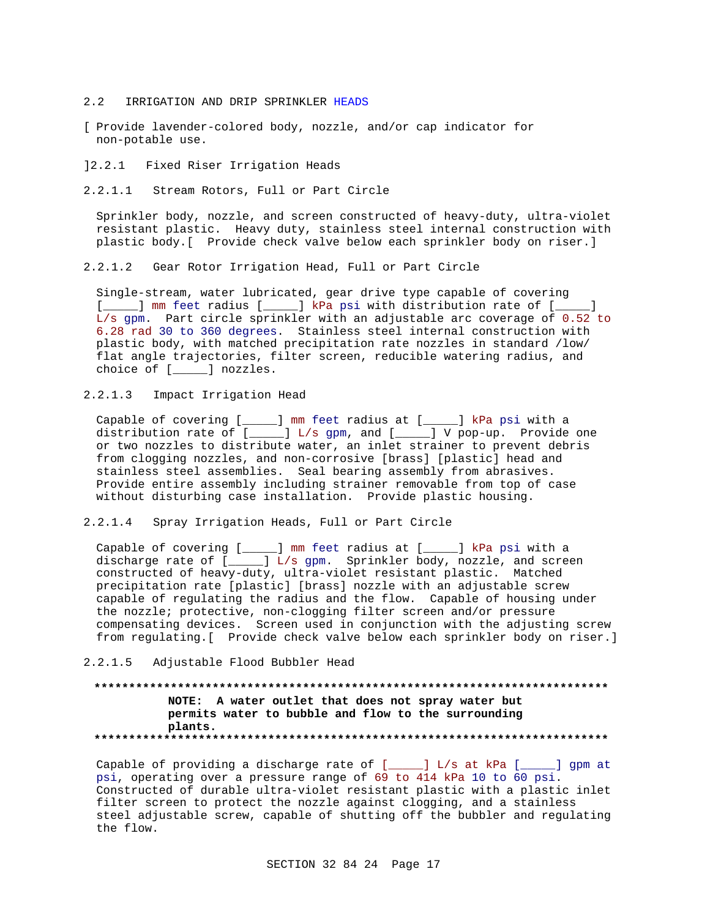- 2.2 IRRIGATION AND DRIP SPRINKLER HEADS
- [ Provide lavender-colored body, nozzle, and/or cap indicator for non-potable use.
- ]2.2.1 Fixed Riser Irrigation Heads
- 2.2.1.1 Stream Rotors, Full or Part Circle

Sprinkler body, nozzle, and screen constructed of heavy-duty, ultra-violet resistant plastic. Heavy duty, stainless steel internal construction with plastic body.[ Provide check valve below each sprinkler body on riser.]

2.2.1.2 Gear Rotor Irrigation Head, Full or Part Circle

Single-stream, water lubricated, gear drive type capable of covering [\_\_\_\_\_] mm feet radius [\_\_\_\_\_] kPa psi with distribution rate of [\_\_\_\_\_] L/s gpm. Part circle sprinkler with an adjustable arc coverage of 0.52 to 6.28 rad 30 to 360 degrees. Stainless steel internal construction with plastic body, with matched precipitation rate nozzles in standard /low/ flat angle trajectories, filter screen, reducible watering radius, and choice of [\_\_\_\_\_] nozzles.

2.2.1.3 Impact Irrigation Head

Capable of covering [\_\_\_\_\_] mm feet radius at [\_\_\_\_\_] kPa psi with a distribution rate of [\_\_\_\_\_] L/s gpm, and [\_\_\_\_\_] V pop-up. Provide one or two nozzles to distribute water, an inlet strainer to prevent debris from clogging nozzles, and non-corrosive [brass] [plastic] head and stainless steel assemblies. Seal bearing assembly from abrasives. Provide entire assembly including strainer removable from top of case without disturbing case installation. Provide plastic housing.

2.2.1.4 Spray Irrigation Heads, Full or Part Circle

Capable of covering [\_\_\_\_\_] mm feet radius at [\_\_\_\_\_] kPa psi with a discharge rate of [\_\_\_\_] L/s gpm. Sprinkler body, nozzle, and screen constructed of heavy-duty, ultra-violet resistant plastic. Matched precipitation rate [plastic] [brass] nozzle with an adjustable screw capable of regulating the radius and the flow. Capable of housing under the nozzle; protective, non-clogging filter screen and/or pressure compensating devices. Screen used in conjunction with the adjusting screw from regulating.[ Provide check valve below each sprinkler body on riser.]

2.2.1.5 Adjustable Flood Bubbler Head

## **\*\*\*\*\*\*\*\*\*\*\*\*\*\*\*\*\*\*\*\*\*\*\*\*\*\*\*\*\*\*\*\*\*\*\*\*\*\*\*\*\*\*\*\*\*\*\*\*\*\*\*\*\*\*\*\*\*\*\*\*\*\*\*\*\*\*\*\*\*\*\*\*\*\* NOTE: A water outlet that does not spray water but permits water to bubble and flow to the surrounding plants. \*\*\*\*\*\*\*\*\*\*\*\*\*\*\*\*\*\*\*\*\*\*\*\*\*\*\*\*\*\*\*\*\*\*\*\*\*\*\*\*\*\*\*\*\*\*\*\*\*\*\*\*\*\*\*\*\*\*\*\*\*\*\*\*\*\*\*\*\*\*\*\*\*\***

Capable of providing a discharge rate of [\_\_\_\_\_] L/s at kPa [\_\_\_\_\_] gpm at psi, operating over a pressure range of 69 to 414 kPa 10 to 60 psi. Constructed of durable ultra-violet resistant plastic with a plastic inlet filter screen to protect the nozzle against clogging, and a stainless steel adjustable screw, capable of shutting off the bubbler and regulating the flow.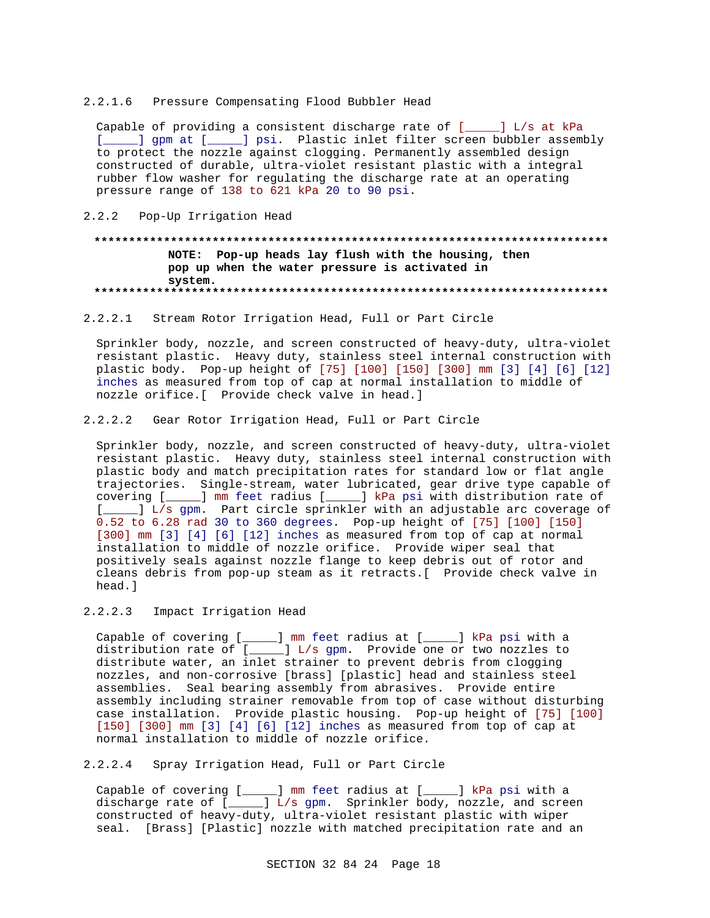#### 2.2.1.6 Pressure Compensating Flood Bubbler Head

Capable of providing a consistent discharge rate of [\_\_\_\_\_] L/s at kPa [\_\_\_\_\_] gpm at [\_\_\_\_\_] psi. Plastic inlet filter screen bubbler assembly to protect the nozzle against clogging. Permanently assembled design constructed of durable, ultra-violet resistant plastic with a integral rubber flow washer for regulating the discharge rate at an operating pressure range of 138 to 621 kPa 20 to 90 psi.

#### 2.2.2 Pop-Up Irrigation Head

## **\*\*\*\*\*\*\*\*\*\*\*\*\*\*\*\*\*\*\*\*\*\*\*\*\*\*\*\*\*\*\*\*\*\*\*\*\*\*\*\*\*\*\*\*\*\*\*\*\*\*\*\*\*\*\*\*\*\*\*\*\*\*\*\*\*\*\*\*\*\*\*\*\*\* NOTE: Pop-up heads lay flush with the housing, then pop up when the water pressure is activated in system. \*\*\*\*\*\*\*\*\*\*\*\*\*\*\*\*\*\*\*\*\*\*\*\*\*\*\*\*\*\*\*\*\*\*\*\*\*\*\*\*\*\*\*\*\*\*\*\*\*\*\*\*\*\*\*\*\*\*\*\*\*\*\*\*\*\*\*\*\*\*\*\*\*\***

## 2.2.2.1 Stream Rotor Irrigation Head, Full or Part Circle

Sprinkler body, nozzle, and screen constructed of heavy-duty, ultra-violet resistant plastic. Heavy duty, stainless steel internal construction with plastic body. Pop-up height of [75] [100] [150] [300] mm [3] [4] [6] [12] inches as measured from top of cap at normal installation to middle of nozzle orifice.[ Provide check valve in head.]

## 2.2.2.2 Gear Rotor Irrigation Head, Full or Part Circle

Sprinkler body, nozzle, and screen constructed of heavy-duty, ultra-violet resistant plastic. Heavy duty, stainless steel internal construction with plastic body and match precipitation rates for standard low or flat angle trajectories. Single-stream, water lubricated, gear drive type capable of covering [\_\_\_\_\_] mm feet radius [\_\_\_\_\_] kPa psi with distribution rate of [\_\_\_\_\_] L/s gpm. Part circle sprinkler with an adjustable arc coverage of 0.52 to 6.28 rad 30 to 360 degrees. Pop-up height of [75] [100] [150] [300] mm [3] [4] [6] [12] inches as measured from top of cap at normal installation to middle of nozzle orifice. Provide wiper seal that positively seals against nozzle flange to keep debris out of rotor and cleans debris from pop-up steam as it retracts.[ Provide check valve in head.]

## 2.2.2.3 Impact Irrigation Head

Capable of covering [\_\_\_\_\_] mm feet radius at [\_\_\_\_\_] kPa psi with a distribution rate of [\_\_\_\_\_] L/s gpm. Provide one or two nozzles to distribute water, an inlet strainer to prevent debris from clogging nozzles, and non-corrosive [brass] [plastic] head and stainless steel assemblies. Seal bearing assembly from abrasives. Provide entire assembly including strainer removable from top of case without disturbing case installation. Provide plastic housing. Pop-up height of [75] [100] [150] [300] mm [3] [4] [6] [12] inches as measured from top of cap at normal installation to middle of nozzle orifice.

## 2.2.2.4 Spray Irrigation Head, Full or Part Circle

Capable of covering [\_\_\_\_\_] mm feet radius at [\_\_\_\_\_] kPa psi with a discharge rate of [\_\_\_\_\_] L/s gpm. Sprinkler body, nozzle, and screen constructed of heavy-duty, ultra-violet resistant plastic with wiper seal. [Brass] [Plastic] nozzle with matched precipitation rate and an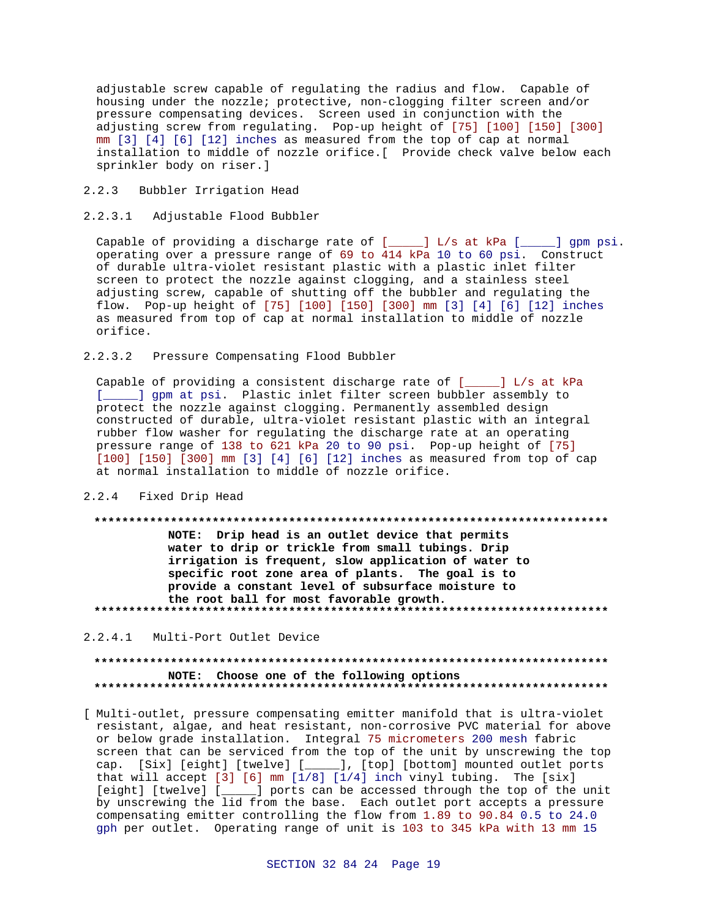adjustable screw capable of regulating the radius and flow. Capable of housing under the nozzle; protective, non-clogging filter screen and/or pressure compensating devices. Screen used in conjunction with the adjusting screw from regulating. Pop-up height of [75] [100] [150] [300] mm [3] [4] [6] [12] inches as measured from the top of cap at normal installation to middle of nozzle orifice.[ Provide check valve below each sprinkler body on riser.]

2.2.3 Bubbler Irrigation Head

## 2.2.3.1 Adjustable Flood Bubbler

Capable of providing a discharge rate of  $[\_\_]$  L/s at kPa  $[\_\_]$  gpm psi. operating over a pressure range of 69 to 414 kPa 10 to 60 psi. Construct of durable ultra-violet resistant plastic with a plastic inlet filter screen to protect the nozzle against clogging, and a stainless steel adjusting screw, capable of shutting off the bubbler and regulating the flow. Pop-up height of [75] [100] [150] [300] mm [3] [4] [6] [12] inches as measured from top of cap at normal installation to middle of nozzle orifice.

## 2.2.3.2 Pressure Compensating Flood Bubbler

Capable of providing a consistent discharge rate of [\_\_\_\_\_] L/s at kPa [\_\_\_\_\_] gpm at psi. Plastic inlet filter screen bubbler assembly to protect the nozzle against clogging. Permanently assembled design constructed of durable, ultra-violet resistant plastic with an integral rubber flow washer for regulating the discharge rate at an operating pressure range of 138 to 621 kPa 20 to 90 psi. Pop-up height of [75] [100] [150] [300] mm [3] [4] [6] [12] inches as measured from top of cap at normal installation to middle of nozzle orifice.

#### 2.2.4 Fixed Drip Head

#### **\*\*\*\*\*\*\*\*\*\*\*\*\*\*\*\*\*\*\*\*\*\*\*\*\*\*\*\*\*\*\*\*\*\*\*\*\*\*\*\*\*\*\*\*\*\*\*\*\*\*\*\*\*\*\*\*\*\*\*\*\*\*\*\*\*\*\*\*\*\*\*\*\*\***

**NOTE: Drip head is an outlet device that permits water to drip or trickle from small tubings. Drip irrigation is frequent, slow application of water to specific root zone area of plants. The goal is to provide a constant level of subsurface moisture to the root ball for most favorable growth. \*\*\*\*\*\*\*\*\*\*\*\*\*\*\*\*\*\*\*\*\*\*\*\*\*\*\*\*\*\*\*\*\*\*\*\*\*\*\*\*\*\*\*\*\*\*\*\*\*\*\*\*\*\*\*\*\*\*\*\*\*\*\*\*\*\*\*\*\*\*\*\*\*\***

## 2.2.4.1 Multi-Port Outlet Device

## **\*\*\*\*\*\*\*\*\*\*\*\*\*\*\*\*\*\*\*\*\*\*\*\*\*\*\*\*\*\*\*\*\*\*\*\*\*\*\*\*\*\*\*\*\*\*\*\*\*\*\*\*\*\*\*\*\*\*\*\*\*\*\*\*\*\*\*\*\*\*\*\*\*\* NOTE: Choose one of the following options \*\*\*\*\*\*\*\*\*\*\*\*\*\*\*\*\*\*\*\*\*\*\*\*\*\*\*\*\*\*\*\*\*\*\*\*\*\*\*\*\*\*\*\*\*\*\*\*\*\*\*\*\*\*\*\*\*\*\*\*\*\*\*\*\*\*\*\*\*\*\*\*\*\***

[ Multi-outlet, pressure compensating emitter manifold that is ultra-violet resistant, algae, and heat resistant, non-corrosive PVC material for above or below grade installation. Integral 75 micrometers 200 mesh fabric screen that can be serviced from the top of the unit by unscrewing the top cap. [Six] [eight] [twelve] [\_\_\_\_\_], [top] [bottom] mounted outlet ports that will accept  $[3]$   $[6]$  mm  $[1/8]$   $[1/4]$  inch vinyl tubing. The  $[six]$ [eight] [twelve] [\_\_\_\_\_] ports can be accessed through the top of the unit by unscrewing the lid from the base. Each outlet port accepts a pressure compensating emitter controlling the flow from 1.89 to 90.84 0.5 to 24.0 gph per outlet. Operating range of unit is 103 to 345 kPa with 13 mm 15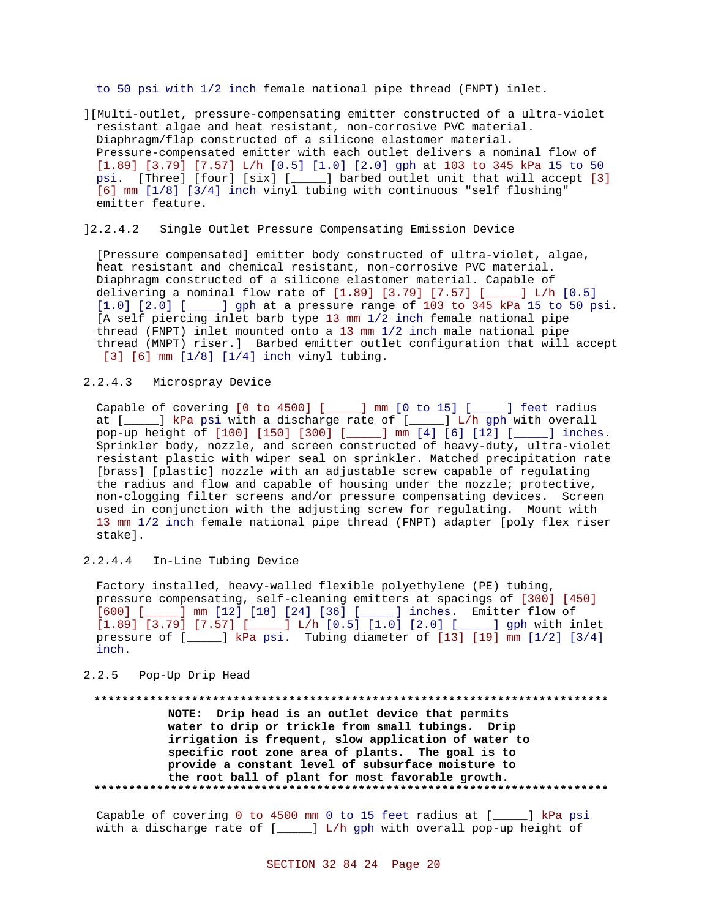to 50 psi with 1/2 inch female national pipe thread (FNPT) inlet.

][Multi-outlet, pressure-compensating emitter constructed of a ultra-violet resistant algae and heat resistant, non-corrosive PVC material. Diaphragm/flap constructed of a silicone elastomer material. Pressure-compensated emitter with each outlet delivers a nominal flow of [1.89] [3.79] [7.57] L/h [0.5] [1.0] [2.0] gph at 103 to 345 kPa 15 to 50 psi. [Three] [four] [six] [\_\_\_\_\_] barbed outlet unit that will accept [3] [6] mm [1/8] [3/4] inch vinyl tubing with continuous "self flushing" emitter feature.

### ]2.2.4.2 Single Outlet Pressure Compensating Emission Device

[Pressure compensated] emitter body constructed of ultra-violet, algae, heat resistant and chemical resistant, non-corrosive PVC material. Diaphragm constructed of a silicone elastomer material. Capable of delivering a nominal flow rate of [1.89] [3.79] [7.57] [\_\_\_\_\_] L/h [0.5] [1.0] [2.0] [\_\_\_\_\_] gph at a pressure range of 103 to 345 kPa 15 to 50 psi. [A self piercing inlet barb type 13 mm 1/2 inch female national pipe thread (FNPT) inlet mounted onto a 13 mm 1/2 inch male national pipe thread (MNPT) riser.] Barbed emitter outlet configuration that will accept [3] [6] mm [1/8] [1/4] inch vinyl tubing.

## 2.2.4.3 Microspray Device

Capable of covering [0 to 4500] [\_\_\_\_\_] mm [0 to 15] [\_\_\_\_\_] feet radius at [\_\_\_\_\_] kPa psi with a discharge rate of [\_\_\_\_\_] L/h gph with overall pop-up height of [100] [150] [300] [\_\_\_\_\_] mm [4] [6] [12] [\_\_\_\_\_] inches. Sprinkler body, nozzle, and screen constructed of heavy-duty, ultra-violet resistant plastic with wiper seal on sprinkler. Matched precipitation rate [brass] [plastic] nozzle with an adjustable screw capable of regulating the radius and flow and capable of housing under the nozzle; protective, non-clogging filter screens and/or pressure compensating devices. Screen used in conjunction with the adjusting screw for regulating. Mount with 13 mm 1/2 inch female national pipe thread (FNPT) adapter [poly flex riser stake].

2.2.4.4 In-Line Tubing Device

Factory installed, heavy-walled flexible polyethylene (PE) tubing, pressure compensating, self-cleaning emitters at spacings of [300] [450] [600] [\_\_\_\_\_] mm [12] [18] [24] [36] [\_\_\_\_\_] inches. Emitter flow of  $[1.89]$   $[3.79]$   $[7.57]$   $[\underline{\hspace{1cm}}]$   $L/h$   $[0.5]$   $[1.0]$   $[2.0]$   $[\underline{\hspace{1cm}}]$  gph with inlet pressure of [\_\_\_\_\_] kPa psi. Tubing diameter of [13] [19] mm [1/2] [3/4] inch.

#### 2.2.5 Pop-Up Drip Head

# **\*\*\*\*\*\*\*\*\*\*\*\*\*\*\*\*\*\*\*\*\*\*\*\*\*\*\*\*\*\*\*\*\*\*\*\*\*\*\*\*\*\*\*\*\*\*\*\*\*\*\*\*\*\*\*\*\*\*\*\*\*\*\*\*\*\*\*\*\*\*\*\*\*\* NOTE: Drip head is an outlet device that permits water to drip or trickle from small tubings. Drip irrigation is frequent, slow application of water to specific root zone area of plants. The goal is to provide a constant level of subsurface moisture to the root ball of plant for most favorable growth. \*\*\*\*\*\*\*\*\*\*\*\*\*\*\*\*\*\*\*\*\*\*\*\*\*\*\*\*\*\*\*\*\*\*\*\*\*\*\*\*\*\*\*\*\*\*\*\*\*\*\*\*\*\*\*\*\*\*\*\*\*\*\*\*\*\*\*\*\*\*\*\*\*\***

Capable of covering 0 to 4500 mm 0 to 15 feet radius at [\_\_\_\_\_] kPa psi with a discharge rate of  $[\_\_\_\]$  L/h gph with overall pop-up height of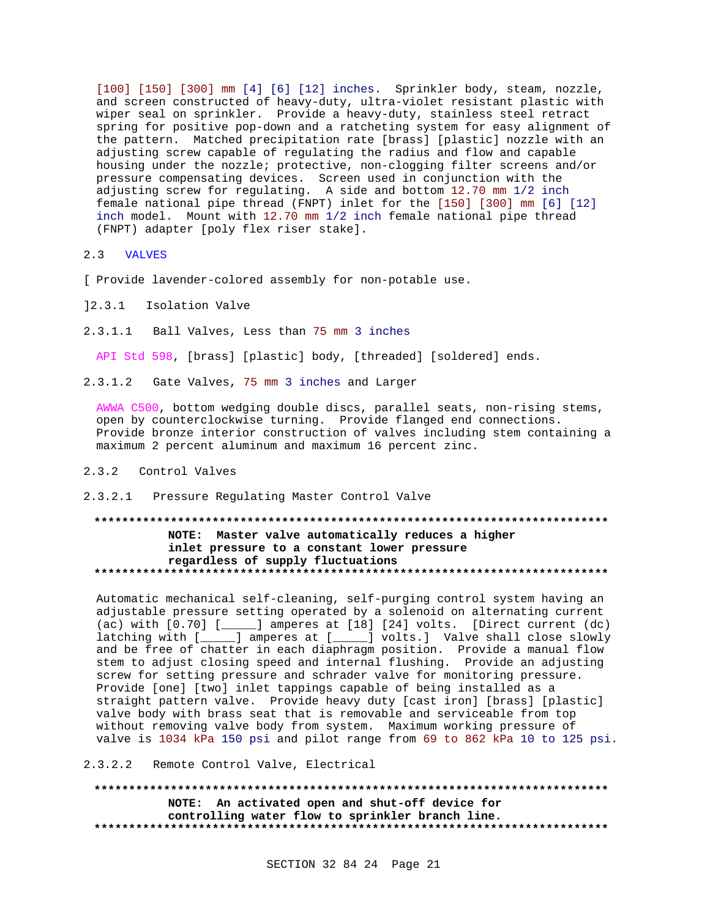[100] [150] [300] mm [4] [6] [12] inches. Sprinkler body, steam, nozzle, and screen constructed of heavy-duty, ultra-violet resistant plastic with wiper seal on sprinkler. Provide a heavy-duty, stainless steel retract spring for positive pop-down and a ratcheting system for easy alignment of the pattern. Matched precipitation rate [brass] [plastic] nozzle with an adjusting screw capable of regulating the radius and flow and capable housing under the nozzle; protective, non-clogging filter screens and/or pressure compensating devices. Screen used in conjunction with the adjusting screw for regulating. A side and bottom 12.70 mm 1/2 inch female national pipe thread (FNPT) inlet for the [150] [300] mm [6] [12] inch model. Mount with 12.70 mm 1/2 inch female national pipe thread (FNPT) adapter [poly flex riser stake].

#### 2.3 VALVES

[ Provide lavender-colored assembly for non-potable use.

- ]2.3.1 Isolation Valve
- 2.3.1.1 Ball Valves, Less than 75 mm 3 inches

API Std 598, [brass] [plastic] body, [threaded] [soldered] ends.

2.3.1.2 Gate Valves, 75 mm 3 inches and Larger

AWWA C500, bottom wedging double discs, parallel seats, non-rising stems, open by counterclockwise turning. Provide flanged end connections. Provide bronze interior construction of valves including stem containing a maximum 2 percent aluminum and maximum 16 percent zinc.

## 2.3.2 Control Valves

2.3.2.1 Pressure Regulating Master Control Valve

## **\*\*\*\*\*\*\*\*\*\*\*\*\*\*\*\*\*\*\*\*\*\*\*\*\*\*\*\*\*\*\*\*\*\*\*\*\*\*\*\*\*\*\*\*\*\*\*\*\*\*\*\*\*\*\*\*\*\*\*\*\*\*\*\*\*\*\*\*\*\*\*\*\*\* NOTE: Master valve automatically reduces a higher inlet pressure to a constant lower pressure regardless of supply fluctuations \*\*\*\*\*\*\*\*\*\*\*\*\*\*\*\*\*\*\*\*\*\*\*\*\*\*\*\*\*\*\*\*\*\*\*\*\*\*\*\*\*\*\*\*\*\*\*\*\*\*\*\*\*\*\*\*\*\*\*\*\*\*\*\*\*\*\*\*\*\*\*\*\*\***

Automatic mechanical self-cleaning, self-purging control system having an adjustable pressure setting operated by a solenoid on alternating current (ac) with [0.70] [\_\_\_\_\_] amperes at [18] [24] volts. [Direct current (dc) latching with [\_\_\_\_\_] amperes at [\_\_\_\_\_] volts.] Valve shall close slowly and be free of chatter in each diaphragm position. Provide a manual flow stem to adjust closing speed and internal flushing. Provide an adjusting screw for setting pressure and schrader valve for monitoring pressure. Provide [one] [two] inlet tappings capable of being installed as a straight pattern valve. Provide heavy duty [cast iron] [brass] [plastic] valve body with brass seat that is removable and serviceable from top without removing valve body from system. Maximum working pressure of valve is 1034 kPa 150 psi and pilot range from 69 to 862 kPa 10 to 125 psi.

## 2.3.2.2 Remote Control Valve, Electrical

**\*\*\*\*\*\*\*\*\*\*\*\*\*\*\*\*\*\*\*\*\*\*\*\*\*\*\*\*\*\*\*\*\*\*\*\*\*\*\*\*\*\*\*\*\*\*\*\*\*\*\*\*\*\*\*\*\*\*\*\*\*\*\*\*\*\*\*\*\*\*\*\*\*\* NOTE: An activated open and shut-off device for controlling water flow to sprinkler branch line. \*\*\*\*\*\*\*\*\*\*\*\*\*\*\*\*\*\*\*\*\*\*\*\*\*\*\*\*\*\*\*\*\*\*\*\*\*\*\*\*\*\*\*\*\*\*\*\*\*\*\*\*\*\*\*\*\*\*\*\*\*\*\*\*\*\*\*\*\*\*\*\*\*\***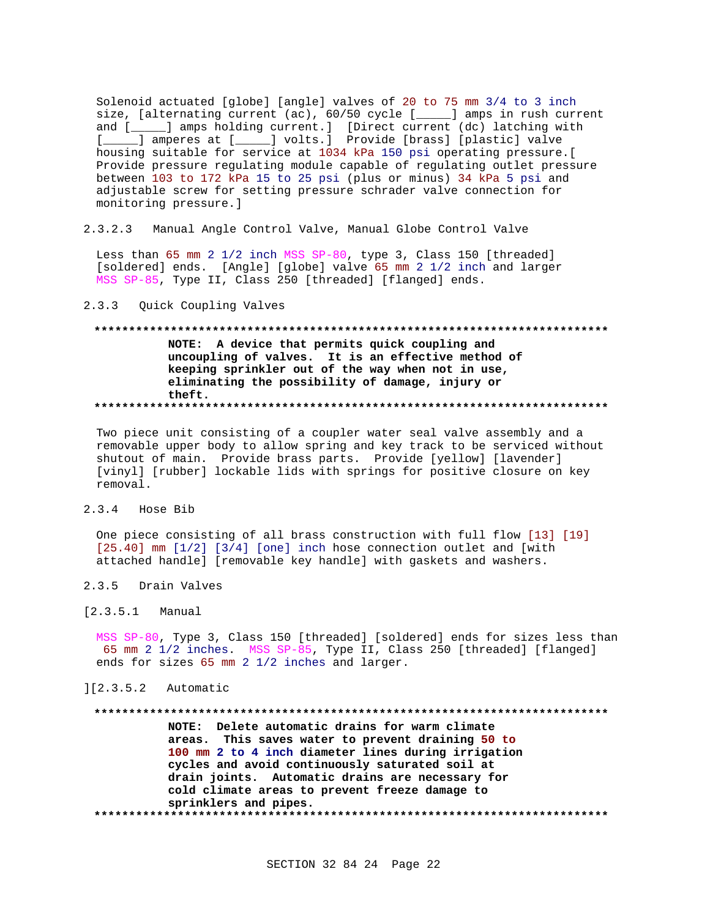Solenoid actuated [globe] [angle] valves of 20 to 75 mm 3/4 to 3 inch size, [alternating current (ac), 60/50 cycle [\_\_\_\_] amps in rush current and [\_\_\_\_\_] amps holding current.] [Direct current (dc) latching with [ \_\_\_\_\_] amperes at [ \_\_\_\_\_] volts.] Provide [brass] [plastic] valve housing suitable for service at 1034 kPa 150 psi operating pressure.[ Provide pressure regulating module capable of regulating outlet pressure between 103 to 172 kPa 15 to 25 psi (plus or minus) 34 kPa 5 psi and adjustable screw for setting pressure schrader valve connection for monitoring pressure.]

 $2.3.2.3$ Manual Angle Control Valve, Manual Globe Control Valve

Less than 65 mm 2 1/2 inch MSS SP-80, type 3, Class 150 [threaded] [soldered] ends. [Angle] [globe] valve 65 mm 2 1/2 inch and larger MSS SP-85, Type II, Class 250 [threaded] [flanged] ends.

#### $2.3.3$ Quick Coupling Valves

# NOTE: A device that permits quick coupling and uncoupling of valves. It is an effective method of keeping sprinkler out of the way when not in use, eliminating the possibility of damage, injury or theft.

Two piece unit consisting of a coupler water seal valve assembly and a removable upper body to allow spring and key track to be serviced without shutout of main. Provide brass parts. Provide [yellow] [lavender] [vinyl] [rubber] lockable lids with springs for positive closure on key removal.

#### $2, 3, 4$ Hose Bib

One piece consisting of all brass construction with full flow [13] [19]  $[25.40]$  mm  $[1/2]$   $[3/4]$  [one] inch hose connection outlet and [with attached handle] [removable key handle] with gaskets and washers.

#### $2.3.5$ Drain Valves

#### $[2.3.5.1]$ Manual

MSS SP-80, Type 3, Class 150 [threaded] [soldered] ends for sizes less than 65 mm 2 1/2 inches. MSS SP-85, Type II, Class 250 [threaded] [flanged] ends for sizes 65 mm 2 1/2 inches and larger.

## $][2.3.5.2$  Automatic

NOTE: Delete automatic drains for warm climate areas. This saves water to prevent draining 50 to 100 mm 2 to 4 inch diameter lines during irrigation cycles and avoid continuously saturated soil at drain joints. Automatic drains are necessary for cold climate areas to prevent freeze damage to sprinklers and pipes.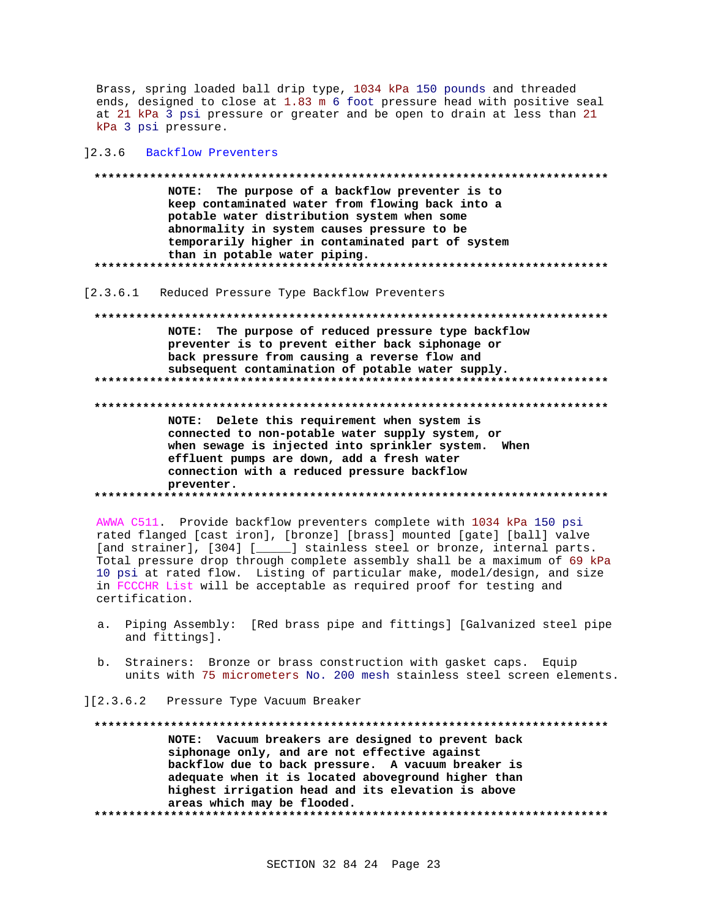Brass, spring loaded ball drip type, 1034 kPa 150 pounds and threaded ends, designed to close at 1.83 m 6 foot pressure head with positive seal at 21 kPa 3 psi pressure or greater and be open to drain at less than 21 kPa 3 psi pressure.

#### 12.3.6 Backflow Preventers

NOTE: The purpose of a backflow preventer is to keep contaminated water from flowing back into a potable water distribution system when some abnormality in system causes pressure to be temporarily higher in contaminated part of system than in potable water piping. 

[2.3.6.1 Reduced Pressure Type Backflow Preventers

NOTE: The purpose of reduced pressure type backflow preventer is to prevent either back siphonage or back pressure from causing a reverse flow and subsequent contamination of potable water supply. NOTE: Delete this requirement when system is connected to non-potable water supply system, or

when sewage is injected into sprinkler system. When effluent pumps are down, add a fresh water connection with a reduced pressure backflow preventer. 

AWWA C511. Provide backflow preventers complete with 1034 kPa 150 psi rated flanged [cast iron], [bronze] [brass] mounted [gate] [ball] valve [and strainer], [304] [\_\_\_\_\_] stainless steel or bronze, internal parts. Total pressure drop through complete assembly shall be a maximum of 69 kPa 10 psi at rated flow. Listing of particular make, model/design, and size in FCCCHR List will be acceptable as required proof for testing and certification.

- a. Piping Assembly: [Red brass pipe and fittings] [Galvanized steel pipe and fittings].
- b. Strainers: Bronze or brass construction with gasket caps. Equip units with 75 micrometers No. 200 mesh stainless steel screen elements.
- 1[2.3.6.2 Pressure Type Vacuum Breaker

NOTE: Vacuum breakers are designed to prevent back siphonage only, and are not effective against backflow due to back pressure. A vacuum breaker is adequate when it is located aboveground higher than highest irrigation head and its elevation is above areas which may be flooded.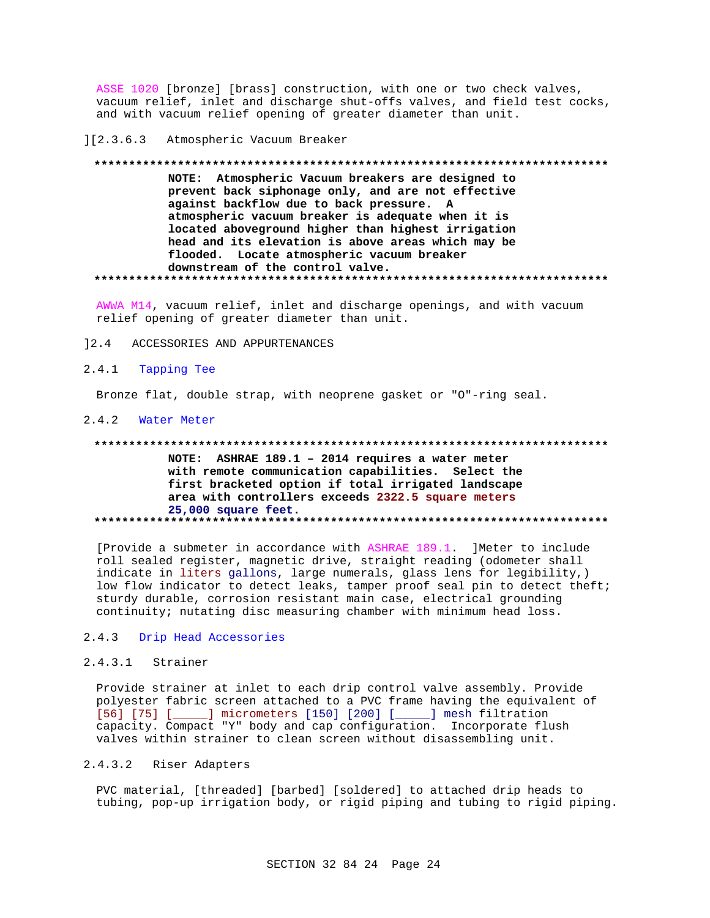ASSE 1020 [bronze] [brass] construction, with one or two check valves, vacuum relief, inlet and discharge shut-offs valves, and field test cocks, and with vacuum relief opening of greater diameter than unit.

#### $] [2.3.6.3]$ Atmospheric Vacuum Breaker

# NOTE: Atmospheric Vacuum breakers are designed to prevent back siphonage only, and are not effective against backflow due to back pressure. A atmospheric vacuum breaker is adequate when it is located aboveground higher than highest irrigation head and its elevation is above areas which may be flooded. Locate atmospheric vacuum breaker downstream of the control valve.

AWWA M14, vacuum relief, inlet and discharge openings, and with vacuum relief opening of greater diameter than unit.

ACCESSORIES AND APPURTENANCES  $12.4$ 

#### $2.4.1$ Tapping Tee

Bronze flat, double strap, with neoprene gasket or "O"-ring seal.

## 2.4.2 Water Meter

#### 

NOTE: ASHRAE 189.1 - 2014 requires a water meter with remote communication capabilities. Select the first bracketed option if total irrigated landscape area with controllers exceeds 2322.5 square meters 25,000 square feet. 

[Provide a submeter in accordance with ASHRAE 189.1 ] Meter to include roll sealed register, magnetic drive, straight reading (odometer shall indicate in liters gallons, large numerals, glass lens for legibility,) low flow indicator to detect leaks, tamper proof seal pin to detect theft; sturdy durable, corrosion resistant main case, electrical grounding continuity; nutating disc measuring chamber with minimum head loss.

#### Drip Head Accessories  $2.4.3$

## 2.4.3.1 Strainer

Provide strainer at inlet to each drip control valve assembly. Provide polyester fabric screen attached to a PVC frame having the equivalent of [56] [75] [\_\_\_\_\_] micrometers [150] [200] [\_\_\_\_\_] mesh filtration capacity. Compact "Y" body and cap configuration. Incorporate flush valves within strainer to clean screen without disassembling unit.

#### $2.4.3.2$ Riser Adapters

PVC material, [threaded] [barbed] [soldered] to attached drip heads to tubing, pop-up irrigation body, or rigid piping and tubing to rigid piping.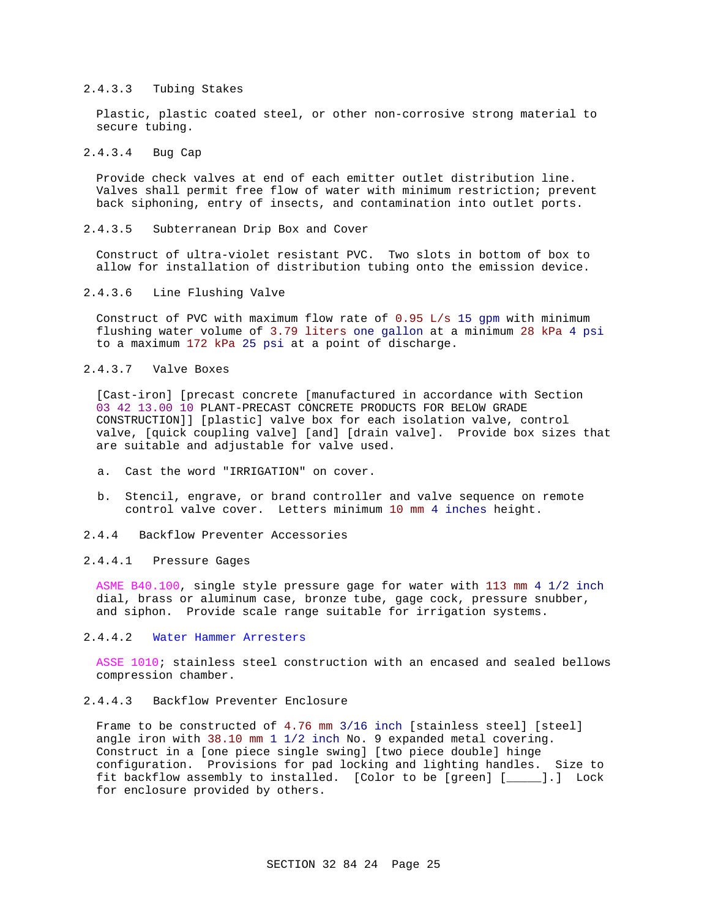## 2.4.3.3 Tubing Stakes

Plastic, plastic coated steel, or other non-corrosive strong material to secure tubing.

## 2.4.3.4 Bug Cap

Provide check valves at end of each emitter outlet distribution line. Valves shall permit free flow of water with minimum restriction; prevent back siphoning, entry of insects, and contamination into outlet ports.

### 2.4.3.5 Subterranean Drip Box and Cover

Construct of ultra-violet resistant PVC. Two slots in bottom of box to allow for installation of distribution tubing onto the emission device.

#### 2.4.3.6 Line Flushing Valve

Construct of PVC with maximum flow rate of 0.95 L/s 15 gpm with minimum flushing water volume of 3.79 liters one gallon at a minimum 28 kPa 4 psi to a maximum 172 kPa 25 psi at a point of discharge.

## 2.4.3.7 Valve Boxes

[Cast-iron] [precast concrete [manufactured in accordance with Section 03 42 13.00 10 PLANT-PRECAST CONCRETE PRODUCTS FOR BELOW GRADE CONSTRUCTION]] [plastic] valve box for each isolation valve, control valve, [quick coupling valve] [and] [drain valve]. Provide box sizes that are suitable and adjustable for valve used.

- a. Cast the word "IRRIGATION" on cover.
- b. Stencil, engrave, or brand controller and valve sequence on remote control valve cover. Letters minimum 10 mm 4 inches height.
- 2.4.4 Backflow Preventer Accessories

### 2.4.4.1 Pressure Gages

ASME B40.100, single style pressure gage for water with 113 mm 4 1/2 inch dial, brass or aluminum case, bronze tube, gage cock, pressure snubber, and siphon. Provide scale range suitable for irrigation systems.

#### 2.4.4.2 Water Hammer Arresters

ASSE 1010; stainless steel construction with an encased and sealed bellows compression chamber.

#### 2.4.4.3 Backflow Preventer Enclosure

Frame to be constructed of 4.76 mm 3/16 inch [stainless steel] [steel] angle iron with 38.10 mm 1 1/2 inch No. 9 expanded metal covering. Construct in a [one piece single swing] [two piece double] hinge configuration. Provisions for pad locking and lighting handles. Size to fit backflow assembly to installed. [Color to be [green] [\_\_\_\_\_].] Lock for enclosure provided by others.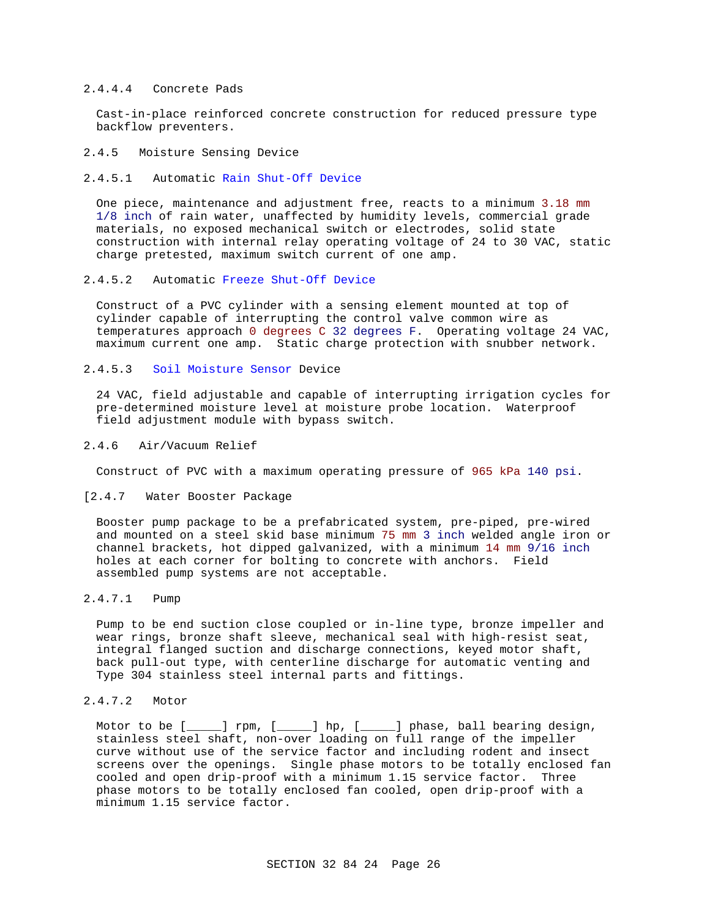### 2.4.4.4 Concrete Pads

Cast-in-place reinforced concrete construction for reduced pressure type backflow preventers.

#### 2.4.5 Moisture Sensing Device

### 2.4.5.1 Automatic Rain Shut-Off Device

One piece, maintenance and adjustment free, reacts to a minimum 3.18 mm 1/8 inch of rain water, unaffected by humidity levels, commercial grade materials, no exposed mechanical switch or electrodes, solid state construction with internal relay operating voltage of 24 to 30 VAC, static charge pretested, maximum switch current of one amp.

## 2.4.5.2 Automatic Freeze Shut-Off Device

Construct of a PVC cylinder with a sensing element mounted at top of cylinder capable of interrupting the control valve common wire as temperatures approach 0 degrees C 32 degrees F. Operating voltage 24 VAC, maximum current one amp. Static charge protection with snubber network.

#### 2.4.5.3 Soil Moisture Sensor Device

24 VAC, field adjustable and capable of interrupting irrigation cycles for pre-determined moisture level at moisture probe location. Waterproof field adjustment module with bypass switch.

#### 2.4.6 Air/Vacuum Relief

Construct of PVC with a maximum operating pressure of 965 kPa 140 psi.

## [2.4.7 Water Booster Package

Booster pump package to be a prefabricated system, pre-piped, pre-wired and mounted on a steel skid base minimum 75 mm 3 inch welded angle iron or channel brackets, hot dipped galvanized, with a minimum 14 mm 9/16 inch holes at each corner for bolting to concrete with anchors. Field assembled pump systems are not acceptable.

## 2.4.7.1 Pump

Pump to be end suction close coupled or in-line type, bronze impeller and wear rings, bronze shaft sleeve, mechanical seal with high-resist seat, integral flanged suction and discharge connections, keyed motor shaft, back pull-out type, with centerline discharge for automatic venting and Type 304 stainless steel internal parts and fittings.

## 2.4.7.2 Motor

Motor to be [\_\_\_\_\_] rpm, [\_\_\_\_\_] hp, [\_\_\_\_\_] phase, ball bearing design, stainless steel shaft, non-over loading on full range of the impeller curve without use of the service factor and including rodent and insect screens over the openings. Single phase motors to be totally enclosed fan cooled and open drip-proof with a minimum 1.15 service factor. Three phase motors to be totally enclosed fan cooled, open drip-proof with a minimum 1.15 service factor.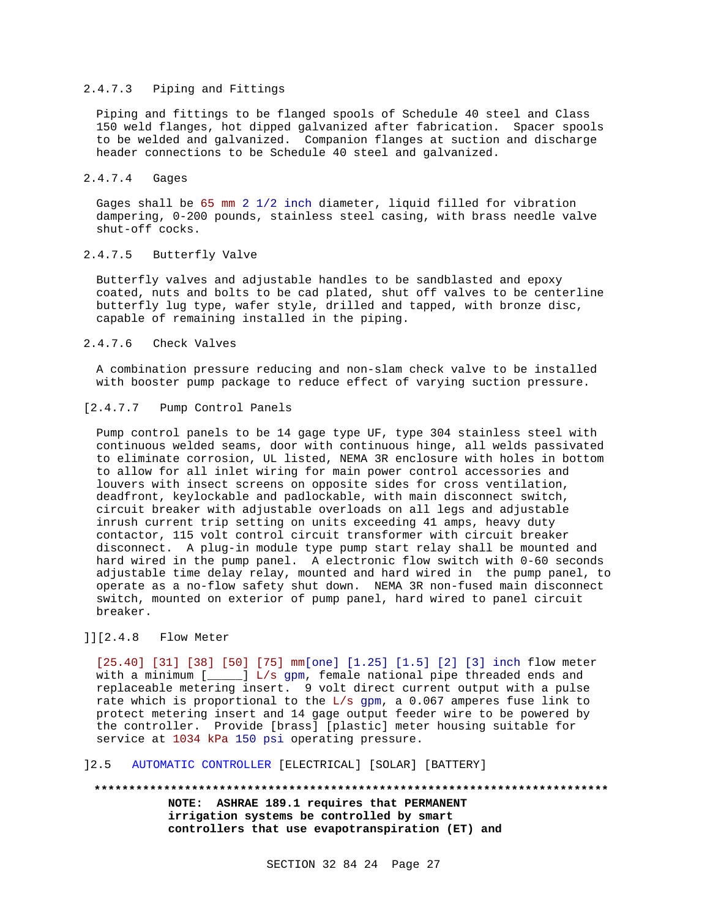## 2.4.7.3 Piping and Fittings

Piping and fittings to be flanged spools of Schedule 40 steel and Class 150 weld flanges, hot dipped galvanized after fabrication. Spacer spools to be welded and galvanized. Companion flanges at suction and discharge header connections to be Schedule 40 steel and galvanized.

## 2.4.7.4 Gages

Gages shall be 65 mm 2 1/2 inch diameter, liquid filled for vibration dampering, 0-200 pounds, stainless steel casing, with brass needle valve shut-off cocks.

# 2.4.7.5 Butterfly Valve

Butterfly valves and adjustable handles to be sandblasted and epoxy coated, nuts and bolts to be cad plated, shut off valves to be centerline butterfly lug type, wafer style, drilled and tapped, with bronze disc, capable of remaining installed in the piping.

## 2.4.7.6 Check Valves

A combination pressure reducing and non-slam check valve to be installed with booster pump package to reduce effect of varying suction pressure.

## [2.4.7.7 Pump Control Panels

Pump control panels to be 14 gage type UF, type 304 stainless steel with continuous welded seams, door with continuous hinge, all welds passivated to eliminate corrosion, UL listed, NEMA 3R enclosure with holes in bottom to allow for all inlet wiring for main power control accessories and louvers with insect screens on opposite sides for cross ventilation, deadfront, keylockable and padlockable, with main disconnect switch, circuit breaker with adjustable overloads on all legs and adjustable inrush current trip setting on units exceeding 41 amps, heavy duty contactor, 115 volt control circuit transformer with circuit breaker disconnect. A plug-in module type pump start relay shall be mounted and hard wired in the pump panel. A electronic flow switch with 0-60 seconds adjustable time delay relay, mounted and hard wired in the pump panel, to operate as a no-flow safety shut down. NEMA 3R non-fused main disconnect switch, mounted on exterior of pump panel, hard wired to panel circuit breaker.

## ]][2.4.8 Flow Meter

[25.40] [31] [38] [50] [75] mm[one] [1.25] [1.5] [2] [3] inch flow meter with a minimum [\_\_\_\_\_] L/s gpm, female national pipe threaded ends and replaceable metering insert. 9 volt direct current output with a pulse rate which is proportional to the  $L/s$  gpm, a 0.067 amperes fuse link to protect metering insert and 14 gage output feeder wire to be powered by the controller. Provide [brass] [plastic] meter housing suitable for service at 1034 kPa 150 psi operating pressure.

## ]2.5 AUTOMATIC CONTROLLER [ELECTRICAL] [SOLAR] [BATTERY]

**\*\*\*\*\*\*\*\*\*\*\*\*\*\*\*\*\*\*\*\*\*\*\*\*\*\*\*\*\*\*\*\*\*\*\*\*\*\*\*\*\*\*\*\*\*\*\*\*\*\*\*\*\*\*\*\*\*\*\*\*\*\*\*\*\*\*\*\*\*\*\*\*\*\* NOTE: ASHRAE 189.1 requires that PERMANENT irrigation systems be controlled by smart controllers that use evapotranspiration (ET) and**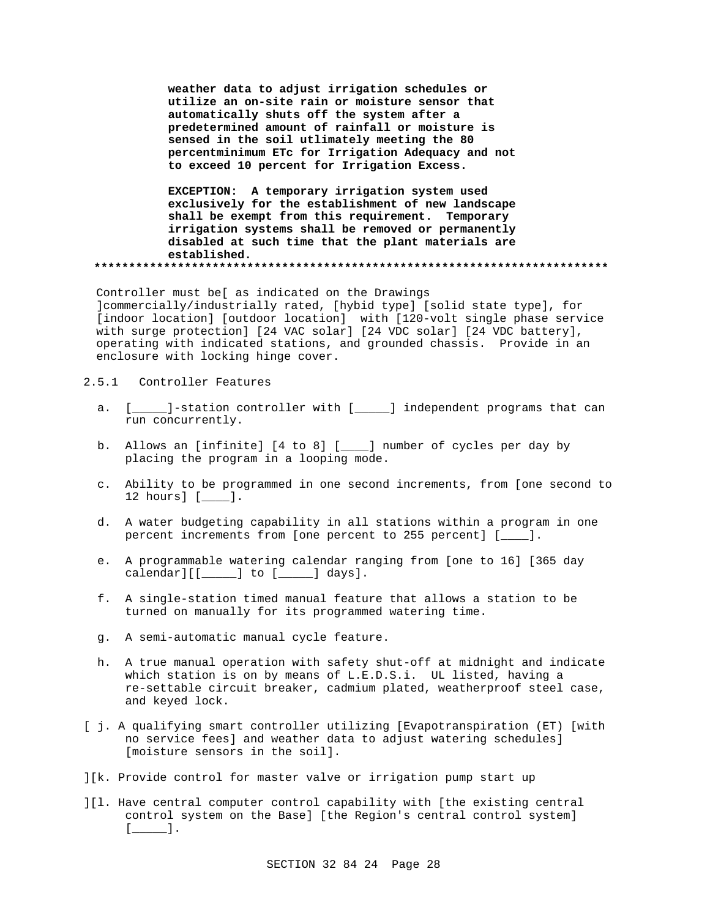**weather data to adjust irrigation schedules or utilize an on-site rain or moisture sensor that automatically shuts off the system after a predetermined amount of rainfall or moisture is sensed in the soil utlimately meeting the 80 percentminimum ETc for Irrigation Adequacy and not to exceed 10 percent for Irrigation Excess.**

**EXCEPTION: A temporary irrigation system used exclusively for the establishment of new landscape shall be exempt from this requirement. Temporary irrigation systems shall be removed or permanently disabled at such time that the plant materials are established. \*\*\*\*\*\*\*\*\*\*\*\*\*\*\*\*\*\*\*\*\*\*\*\*\*\*\*\*\*\*\*\*\*\*\*\*\*\*\*\*\*\*\*\*\*\*\*\*\*\*\*\*\*\*\*\*\*\*\*\*\*\*\*\*\*\*\*\*\*\*\*\*\*\***

Controller must be[ as indicated on the Drawings ]commercially/industrially rated, [hybid type] [solid state type], for [indoor location] [outdoor location] with [120-volt single phase service with surge protection] [24 VAC solar] [24 VDC solar] [24 VDC battery], operating with indicated stations, and grounded chassis. Provide in an enclosure with locking hinge cover.

- 2.5.1 Controller Features
	- a. [\_\_\_\_\_]-station controller with [\_\_\_\_\_] independent programs that can run concurrently.
	- b. Allows an [infinite] [4 to 8] [\_\_\_\_] number of cycles per day by placing the program in a looping mode.
	- c. Ability to be programmed in one second increments, from [one second to 12 hours] [\_\_\_\_].
	- d. A water budgeting capability in all stations within a program in one percent increments from [one percent to 255 percent] [\_\_\_\_].
	- e. A programmable watering calendar ranging from [one to 16] [365 day calendar][[\_\_\_\_\_] to [\_\_\_\_\_] days].
	- f. A single-station timed manual feature that allows a station to be turned on manually for its programmed watering time.
	- g. A semi-automatic manual cycle feature.
	- h. A true manual operation with safety shut-off at midnight and indicate which station is on by means of L.E.D.S.i. UL listed, having a re-settable circuit breaker, cadmium plated, weatherproof steel case, and keyed lock.
- [ j. A qualifying smart controller utilizing [Evapotranspiration (ET) [with no service fees] and weather data to adjust watering schedules] [moisture sensors in the soil].
- ][k. Provide control for master valve or irrigation pump start up
- ][l. Have central computer control capability with [the existing central control system on the Base] [the Region's central control system]  $[\underline{\underline{\hspace{1cm}}}].$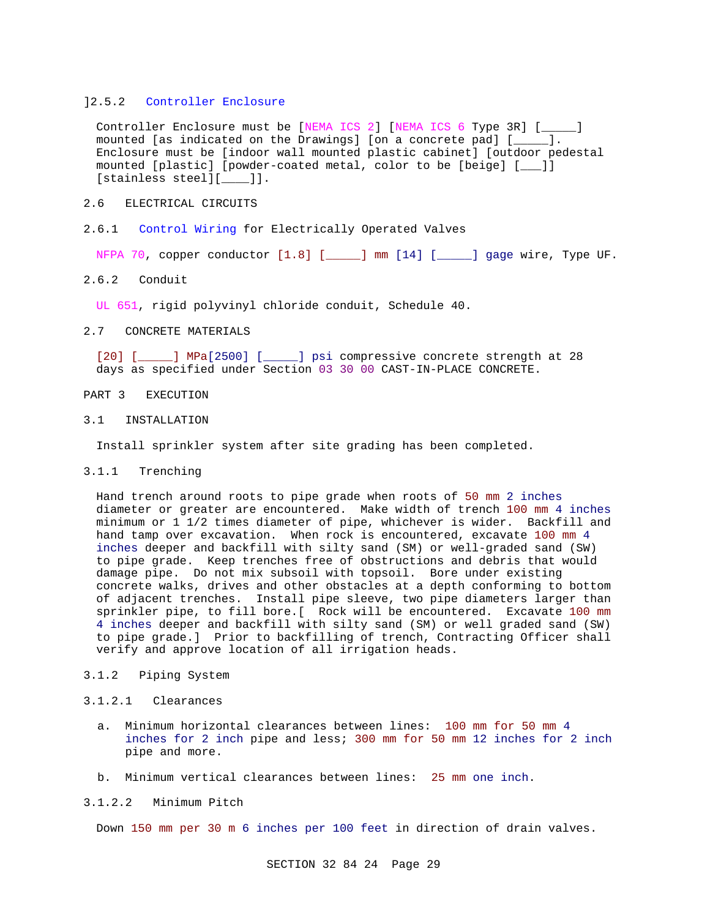#### ]2.5.2 Controller Enclosure

Controller Enclosure must be [NEMA ICS 2] [NEMA ICS 6 Type 3R] [\_\_\_\_\_] mounted [as indicated on the Drawings] [on a concrete pad] [\_\_\_\_\_]. Enclosure must be [indoor wall mounted plastic cabinet] [outdoor pedestal mounted [plastic] [powder-coated metal, color to be [beige] [\_\_\_]] [stainless steel][ ]].

- 2.6 ELECTRICAL CIRCUITS
- 2.6.1 Control Wiring for Electrically Operated Valves

NFPA 70, copper conductor [1.8] [\_\_\_\_\_] mm [14] [\_\_\_\_\_] gage wire, Type UF.

## 2.6.2 Conduit

UL 651, rigid polyvinyl chloride conduit, Schedule 40.

### 2.7 CONCRETE MATERIALS

[20] [\_\_\_\_\_] MPa[2500] [\_\_\_\_\_] psi compressive concrete strength at 28 days as specified under Section 03 30 00 CAST-IN-PLACE CONCRETE.

- PART 3 EXECUTION
- 3.1 INSTALLATION

Install sprinkler system after site grading has been completed.

3.1.1 Trenching

Hand trench around roots to pipe grade when roots of 50 mm 2 inches diameter or greater are encountered. Make width of trench 100 mm 4 inches minimum or 1 1/2 times diameter of pipe, whichever is wider. Backfill and hand tamp over excavation. When rock is encountered, excavate 100 mm 4 inches deeper and backfill with silty sand (SM) or well-graded sand (SW) to pipe grade. Keep trenches free of obstructions and debris that would damage pipe. Do not mix subsoil with topsoil. Bore under existing concrete walks, drives and other obstacles at a depth conforming to bottom of adjacent trenches. Install pipe sleeve, two pipe diameters larger than sprinkler pipe, to fill bore.[ Rock will be encountered. Excavate 100 mm 4 inches deeper and backfill with silty sand (SM) or well graded sand (SW) to pipe grade.] Prior to backfilling of trench, Contracting Officer shall verify and approve location of all irrigation heads.

3.1.2 Piping System

#### 3.1.2.1 Clearances

- a. Minimum horizontal clearances between lines: 100 mm for 50 mm 4 inches for 2 inch pipe and less; 300 mm for 50 mm 12 inches for 2 inch pipe and more.
- b. Minimum vertical clearances between lines: 25 mm one inch.

#### 3.1.2.2 Minimum Pitch

Down 150 mm per 30 m 6 inches per 100 feet in direction of drain valves.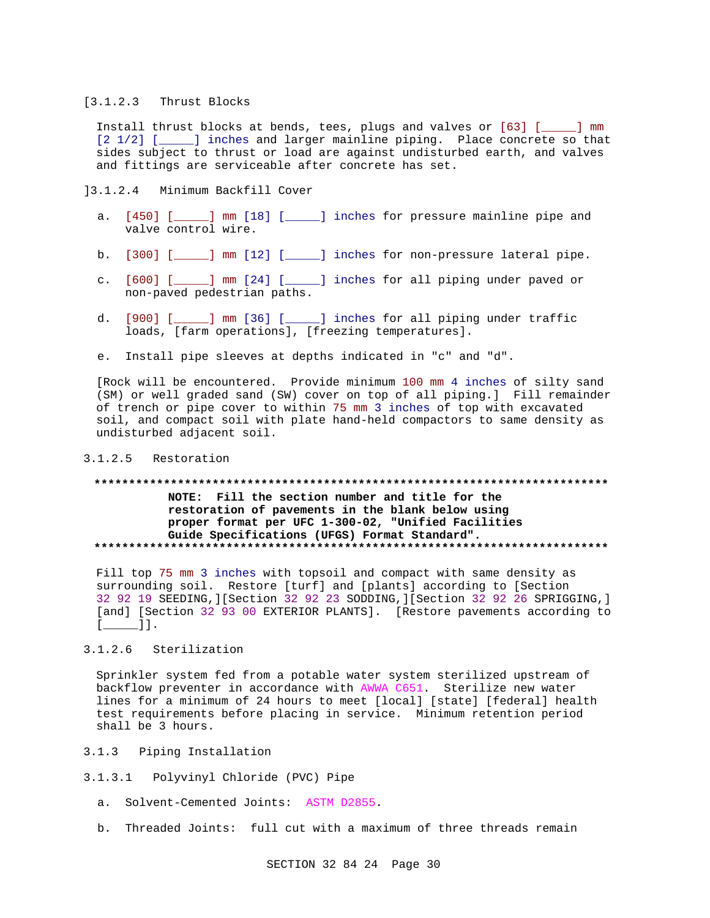#### [3.1.2.3 Thrust Blocks

Install thrust blocks at bends, tees, plugs and valves or [63] [\_\_\_\_\_] mm [2 1/2] [\_\_\_\_\_] inches and larger mainline piping. Place concrete so that sides subject to thrust or load are against undisturbed earth, and valves and fittings are serviceable after concrete has set.

]3.1.2.4 Minimum Backfill Cover

- a. [450] [\_\_\_\_\_] mm [18] [\_\_\_\_\_] inches for pressure mainline pipe and valve control wire.
- b. [300] [\_\_\_\_\_] mm [12] [\_\_\_\_\_] inches for non-pressure lateral pipe.
- c. [600] [\_\_\_\_\_] mm [24] [\_\_\_\_\_] inches for all piping under paved or non-paved pedestrian paths.
- d. [900] [\_\_\_\_\_] mm [36] [\_\_\_\_\_] inches for all piping under traffic loads, [farm operations], [freezing temperatures].
- e. Install pipe sleeves at depths indicated in "c" and "d".

[Rock will be encountered. Provide minimum 100 mm 4 inches of silty sand (SM) or well graded sand (SW) cover on top of all piping.] Fill remainder of trench or pipe cover to within 75 mm 3 inches of top with excavated soil, and compact soil with plate hand-held compactors to same density as undisturbed adjacent soil.

## 3.1.2.5 Restoration

## **\*\*\*\*\*\*\*\*\*\*\*\*\*\*\*\*\*\*\*\*\*\*\*\*\*\*\*\*\*\*\*\*\*\*\*\*\*\*\*\*\*\*\*\*\*\*\*\*\*\*\*\*\*\*\*\*\*\*\*\*\*\*\*\*\*\*\*\*\*\*\*\*\*\* NOTE: Fill the section number and title for the restoration of pavements in the blank below using proper format per UFC 1-300-02, "Unified Facilities Guide Specifications (UFGS) Format Standard". \*\*\*\*\*\*\*\*\*\*\*\*\*\*\*\*\*\*\*\*\*\*\*\*\*\*\*\*\*\*\*\*\*\*\*\*\*\*\*\*\*\*\*\*\*\*\*\*\*\*\*\*\*\*\*\*\*\*\*\*\*\*\*\*\*\*\*\*\*\*\*\*\*\***

Fill top 75 mm 3 inches with topsoil and compact with same density as surrounding soil. Restore [turf] and [plants] according to [Section 32 92 19 SEEDING,][Section 32 92 23 SODDING,][Section 32 92 26 SPRIGGING,] [and] [Section 32 93 00 EXTERIOR PLANTS]. [Restore pavements according to [\_\_\_\_\_]].

## 3.1.2.6 Sterilization

Sprinkler system fed from a potable water system sterilized upstream of backflow preventer in accordance with AWWA C651. Sterilize new water lines for a minimum of 24 hours to meet [local] [state] [federal] health test requirements before placing in service. Minimum retention period shall be 3 hours.

- 3.1.3 Piping Installation
- 3.1.3.1 Polyvinyl Chloride (PVC) Pipe
	- a. Solvent-Cemented Joints: ASTM D2855.
	- b. Threaded Joints: full cut with a maximum of three threads remain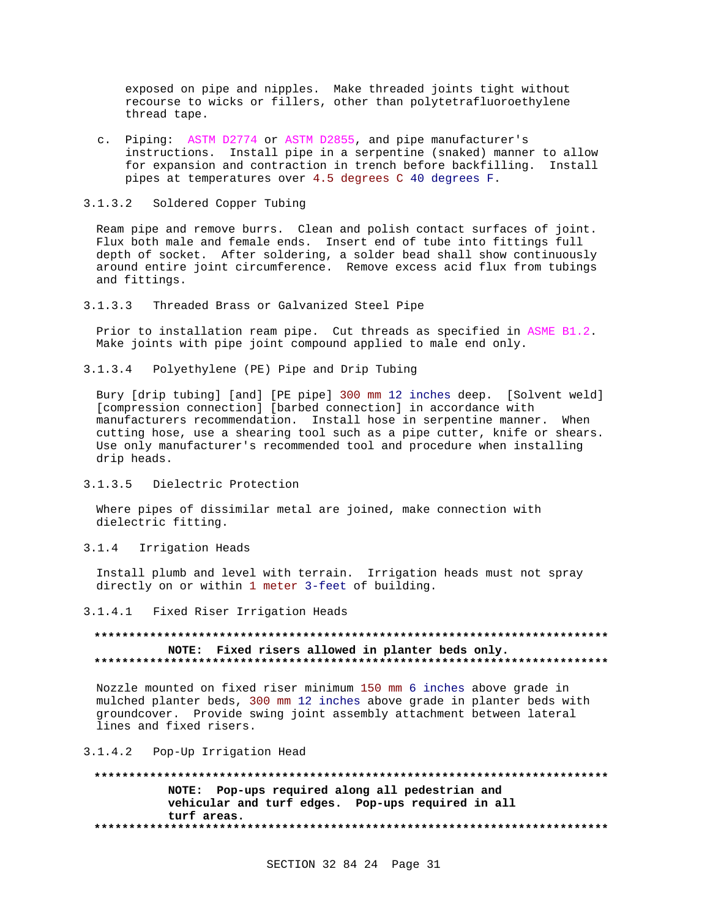exposed on pipe and nipples. Make threaded joints tight without recourse to wicks or fillers, other than polytetrafluoroethylene thread tape.

c. Piping: ASTM D2774 or ASTM D2855, and pipe manufacturer's instructions. Install pipe in a serpentine (snaked) manner to allow for expansion and contraction in trench before backfilling. Install pipes at temperatures over 4.5 degrees C 40 degrees F.

#### 3.1.3.2 Soldered Copper Tubing

Ream pipe and remove burrs. Clean and polish contact surfaces of joint. Flux both male and female ends. Insert end of tube into fittings full depth of socket. After soldering, a solder bead shall show continuously around entire joint circumference. Remove excess acid flux from tubings and fittings.

3.1.3.3 Threaded Brass or Galvanized Steel Pipe

Prior to installation ream pipe. Cut threads as specified in ASME B1.2. Make joints with pipe joint compound applied to male end only.

3.1.3.4 Polyethylene (PE) Pipe and Drip Tubing

Bury [drip tubing] [and] [PE pipe] 300 mm 12 inches deep. [Solvent weld] [compression connection] [barbed connection] in accordance with manufacturers recommendation. Install hose in serpentine manner. When cutting hose, use a shearing tool such as a pipe cutter, knife or shears. Use only manufacturer's recommended tool and procedure when installing drip heads.

3.1.3.5 Dielectric Protection

Where pipes of dissimilar metal are joined, make connection with dielectric fitting.

3.1.4 Irrigation Heads

Install plumb and level with terrain. Irrigation heads must not spray directly on or within 1 meter 3-feet of building.

3.1.4.1 Fixed Riser Irrigation Heads

## **\*\*\*\*\*\*\*\*\*\*\*\*\*\*\*\*\*\*\*\*\*\*\*\*\*\*\*\*\*\*\*\*\*\*\*\*\*\*\*\*\*\*\*\*\*\*\*\*\*\*\*\*\*\*\*\*\*\*\*\*\*\*\*\*\*\*\*\*\*\*\*\*\*\* NOTE: Fixed risers allowed in planter beds only. \*\*\*\*\*\*\*\*\*\*\*\*\*\*\*\*\*\*\*\*\*\*\*\*\*\*\*\*\*\*\*\*\*\*\*\*\*\*\*\*\*\*\*\*\*\*\*\*\*\*\*\*\*\*\*\*\*\*\*\*\*\*\*\*\*\*\*\*\*\*\*\*\*\***

Nozzle mounted on fixed riser minimum 150 mm 6 inches above grade in mulched planter beds, 300 mm 12 inches above grade in planter beds with groundcover. Provide swing joint assembly attachment between lateral lines and fixed risers.

3.1.4.2 Pop-Up Irrigation Head

**\*\*\*\*\*\*\*\*\*\*\*\*\*\*\*\*\*\*\*\*\*\*\*\*\*\*\*\*\*\*\*\*\*\*\*\*\*\*\*\*\*\*\*\*\*\*\*\*\*\*\*\*\*\*\*\*\*\*\*\*\*\*\*\*\*\*\*\*\*\*\*\*\*\* NOTE: Pop-ups required along all pedestrian and vehicular and turf edges. Pop-ups required in all turf areas. \*\*\*\*\*\*\*\*\*\*\*\*\*\*\*\*\*\*\*\*\*\*\*\*\*\*\*\*\*\*\*\*\*\*\*\*\*\*\*\*\*\*\*\*\*\*\*\*\*\*\*\*\*\*\*\*\*\*\*\*\*\*\*\*\*\*\*\*\*\*\*\*\*\***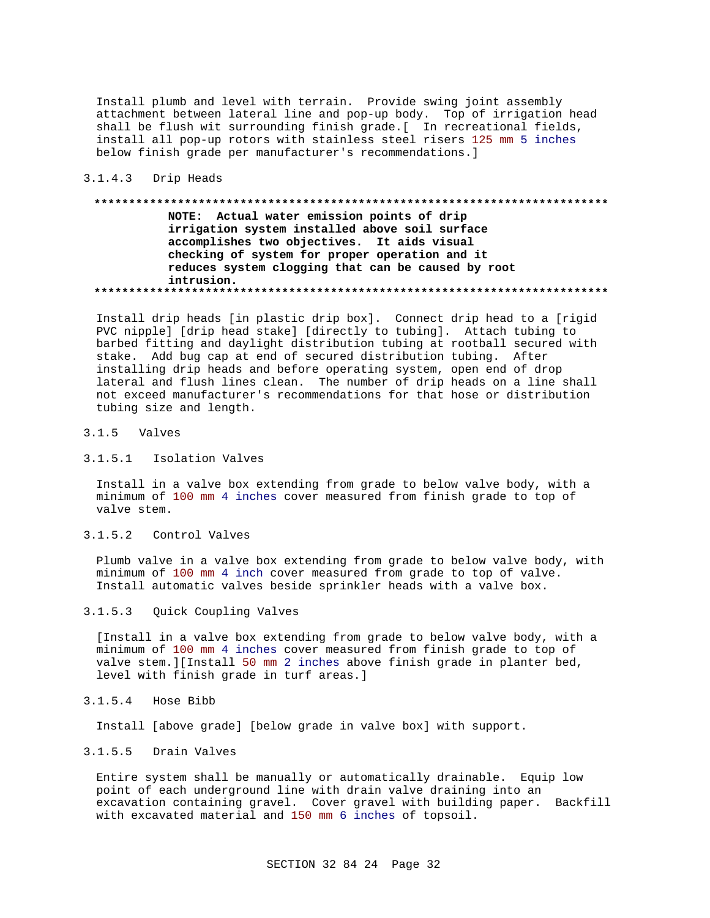Install plumb and level with terrain. Provide swing joint assembly attachment between lateral line and pop-up body. Top of irrigation head shall be flush wit surrounding finish grade.[ In recreational fields, install all pop-up rotors with stainless steel risers 125 mm 5 inches below finish grade per manufacturer's recommendations.]

### 3.1.4.3 Drip Heads

## **\*\*\*\*\*\*\*\*\*\*\*\*\*\*\*\*\*\*\*\*\*\*\*\*\*\*\*\*\*\*\*\*\*\*\*\*\*\*\*\*\*\*\*\*\*\*\*\*\*\*\*\*\*\*\*\*\*\*\*\*\*\*\*\*\*\*\*\*\*\*\*\*\*\* NOTE: Actual water emission points of drip irrigation system installed above soil surface accomplishes two objectives. It aids visual checking of system for proper operation and it reduces system clogging that can be caused by root intrusion. \*\*\*\*\*\*\*\*\*\*\*\*\*\*\*\*\*\*\*\*\*\*\*\*\*\*\*\*\*\*\*\*\*\*\*\*\*\*\*\*\*\*\*\*\*\*\*\*\*\*\*\*\*\*\*\*\*\*\*\*\*\*\*\*\*\*\*\*\*\*\*\*\*\***

Install drip heads [in plastic drip box]. Connect drip head to a [rigid PVC nipple] [drip head stake] [directly to tubing]. Attach tubing to barbed fitting and daylight distribution tubing at rootball secured with stake. Add bug cap at end of secured distribution tubing. After installing drip heads and before operating system, open end of drop lateral and flush lines clean. The number of drip heads on a line shall not exceed manufacturer's recommendations for that hose or distribution tubing size and length.

#### 3.1.5 Valves

### 3.1.5.1 Isolation Valves

Install in a valve box extending from grade to below valve body, with a minimum of 100 mm 4 inches cover measured from finish grade to top of valve stem.

## 3.1.5.2 Control Valves

Plumb valve in a valve box extending from grade to below valve body, with minimum of 100 mm 4 inch cover measured from grade to top of valve. Install automatic valves beside sprinkler heads with a valve box.

## 3.1.5.3 Quick Coupling Valves

[Install in a valve box extending from grade to below valve body, with a minimum of 100 mm 4 inches cover measured from finish grade to top of valve stem.][Install 50 mm 2 inches above finish grade in planter bed, level with finish grade in turf areas.]

### 3.1.5.4 Hose Bibb

Install [above grade] [below grade in valve box] with support.

#### 3.1.5.5 Drain Valves

Entire system shall be manually or automatically drainable. Equip low point of each underground line with drain valve draining into an excavation containing gravel. Cover gravel with building paper. Backfill with excavated material and 150 mm 6 inches of topsoil.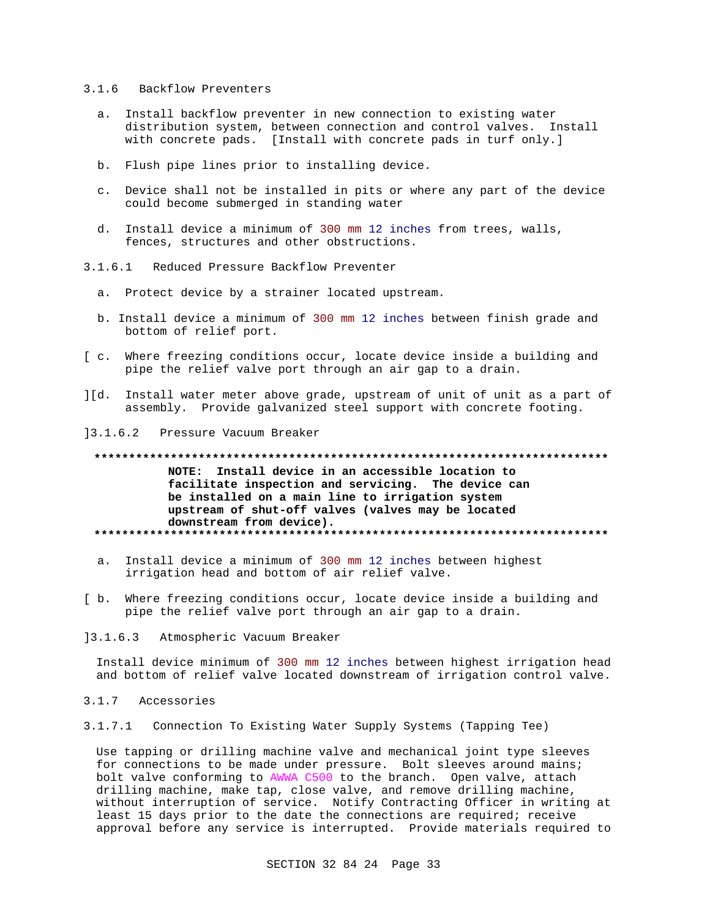#### $3.1.6$ Backflow Preventers

- a. Install backflow preventer in new connection to existing water distribution system, between connection and control valves. Install with concrete pads. [Install with concrete pads in turf only.]
- b. Flush pipe lines prior to installing device.
- c. Device shall not be installed in pits or where any part of the device could become submerged in standing water
- d. Install device a minimum of 300 mm 12 inches from trees, walls, fences, structures and other obstructions.
- $3.1.6.1$ Reduced Pressure Backflow Preventer
	- a. Protect device by a strainer located upstream.
	- b. Install device a minimum of 300 mm 12 inches between finish grade and bottom of relief port.
- [ c. Where freezing conditions occur, locate device inside a building and pipe the relief valve port through an air gap to a drain.
- ][d. Install water meter above grade, upstream of unit of unit as a part of assembly. Provide galvanized steel support with concrete footing.
- $13.1.6.2$ Pressure Vacuum Breaker

# NOTE: Install device in an accessible location to facilitate inspection and servicing. The device can be installed on a main line to irrigation system upstream of shut-off valves (valves may be located downstream from device).

- a. Install device a minimum of 300 mm 12 inches between highest irrigation head and bottom of air relief valve.
- [ b. Where freezing conditions occur, locate device inside a building and pipe the relief valve port through an air gap to a drain.
- $13.1.6.3$ Atmospheric Vacuum Breaker

Install device minimum of 300 mm 12 inches between highest irrigation head and bottom of relief valve located downstream of irrigation control valve.

- 3.1.7 Accessories
- 3.1.7.1 Connection To Existing Water Supply Systems (Tapping Tee)

Use tapping or drilling machine valve and mechanical joint type sleeves for connections to be made under pressure. Bolt sleeves around mains; bolt valve conforming to AWWA C500 to the branch. Open valve, attach drilling machine, make tap, close valve, and remove drilling machine, without interruption of service. Notify Contracting Officer in writing at least 15 days prior to the date the connections are required; receive approval before any service is interrupted. Provide materials required to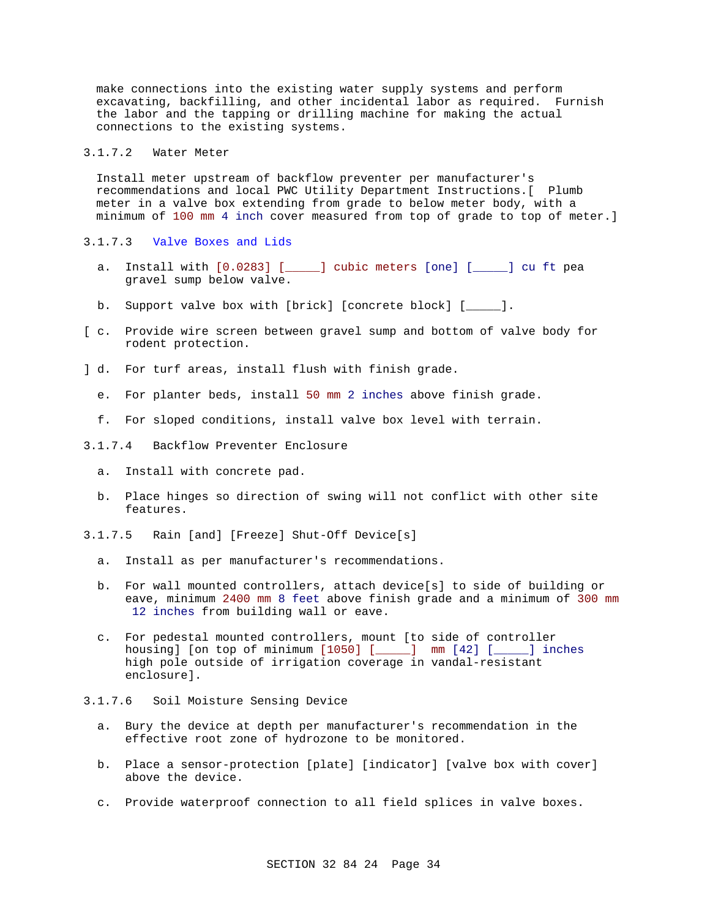make connections into the existing water supply systems and perform excavating, backfilling, and other incidental labor as required. Furnish the labor and the tapping or drilling machine for making the actual connections to the existing systems.

## 3.1.7.2 Water Meter

Install meter upstream of backflow preventer per manufacturer's recommendations and local PWC Utility Department Instructions.[ Plumb meter in a valve box extending from grade to below meter body, with a minimum of 100 mm 4 inch cover measured from top of grade to top of meter.]

- 3.1.7.3 Valve Boxes and Lids
	- a. Install with [0.0283] [\_\_\_\_\_] cubic meters [one] [\_\_\_\_\_] cu ft pea gravel sump below valve.
	- b. Support valve box with [brick] [concrete block] [\_\_\_\_\_].
- [ c. Provide wire screen between gravel sump and bottom of valve body for rodent protection.
- ] d. For turf areas, install flush with finish grade.
	- e. For planter beds, install 50 mm 2 inches above finish grade.
	- f. For sloped conditions, install valve box level with terrain.
- 3.1.7.4 Backflow Preventer Enclosure
	- a. Install with concrete pad.
	- b. Place hinges so direction of swing will not conflict with other site features.
- 3.1.7.5 Rain [and] [Freeze] Shut-Off Device[s]
	- a. Install as per manufacturer's recommendations.
	- b. For wall mounted controllers, attach device[s] to side of building or eave, minimum 2400 mm 8 feet above finish grade and a minimum of 300 mm 12 inches from building wall or eave.
	- c. For pedestal mounted controllers, mount [to side of controller housing] [on top of minimum [1050] [\_\_\_\_\_] mm [42] [\_\_\_\_\_] inches high pole outside of irrigation coverage in vandal-resistant enclosure].
- 3.1.7.6 Soil Moisture Sensing Device
	- a. Bury the device at depth per manufacturer's recommendation in the effective root zone of hydrozone to be monitored.
	- b. Place a sensor-protection [plate] [indicator] [valve box with cover] above the device.
	- c. Provide waterproof connection to all field splices in valve boxes.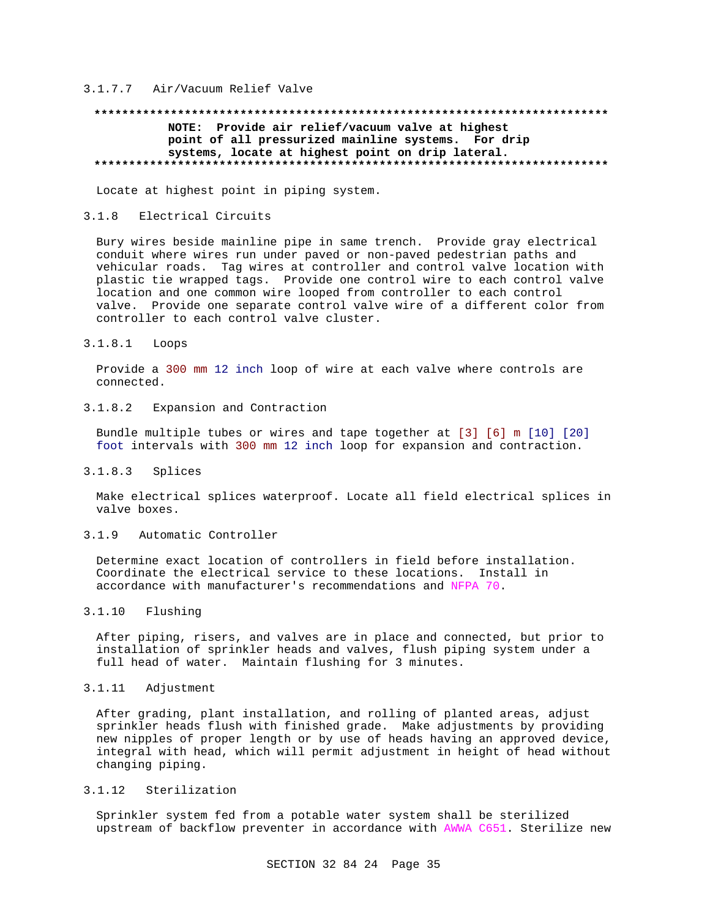## 3.1.7.7 Air/Vacuum Relief Valve

## **\*\*\*\*\*\*\*\*\*\*\*\*\*\*\*\*\*\*\*\*\*\*\*\*\*\*\*\*\*\*\*\*\*\*\*\*\*\*\*\*\*\*\*\*\*\*\*\*\*\*\*\*\*\*\*\*\*\*\*\*\*\*\*\*\*\*\*\*\*\*\*\*\*\* NOTE: Provide air relief/vacuum valve at highest point of all pressurized mainline systems. For drip systems, locate at highest point on drip lateral. \*\*\*\*\*\*\*\*\*\*\*\*\*\*\*\*\*\*\*\*\*\*\*\*\*\*\*\*\*\*\*\*\*\*\*\*\*\*\*\*\*\*\*\*\*\*\*\*\*\*\*\*\*\*\*\*\*\*\*\*\*\*\*\*\*\*\*\*\*\*\*\*\*\***

Locate at highest point in piping system.

#### 3.1.8 Electrical Circuits

Bury wires beside mainline pipe in same trench. Provide gray electrical conduit where wires run under paved or non-paved pedestrian paths and vehicular roads. Tag wires at controller and control valve location with plastic tie wrapped tags. Provide one control wire to each control valve location and one common wire looped from controller to each control valve. Provide one separate control valve wire of a different color from controller to each control valve cluster.

### 3.1.8.1 Loops

Provide a 300 mm 12 inch loop of wire at each valve where controls are connected.

## 3.1.8.2 Expansion and Contraction

Bundle multiple tubes or wires and tape together at [3] [6] m [10] [20] foot intervals with 300 mm 12 inch loop for expansion and contraction.

## 3.1.8.3 Splices

Make electrical splices waterproof. Locate all field electrical splices in valve boxes.

## 3.1.9 Automatic Controller

Determine exact location of controllers in field before installation. Coordinate the electrical service to these locations. Install in accordance with manufacturer's recommendations and NFPA 70.

## 3.1.10 Flushing

After piping, risers, and valves are in place and connected, but prior to installation of sprinkler heads and valves, flush piping system under a full head of water. Maintain flushing for 3 minutes.

## 3.1.11 Adjustment

After grading, plant installation, and rolling of planted areas, adjust sprinkler heads flush with finished grade. Make adjustments by providing new nipples of proper length or by use of heads having an approved device, integral with head, which will permit adjustment in height of head without changing piping.

#### 3.1.12 Sterilization

Sprinkler system fed from a potable water system shall be sterilized upstream of backflow preventer in accordance with AWWA C651. Sterilize new